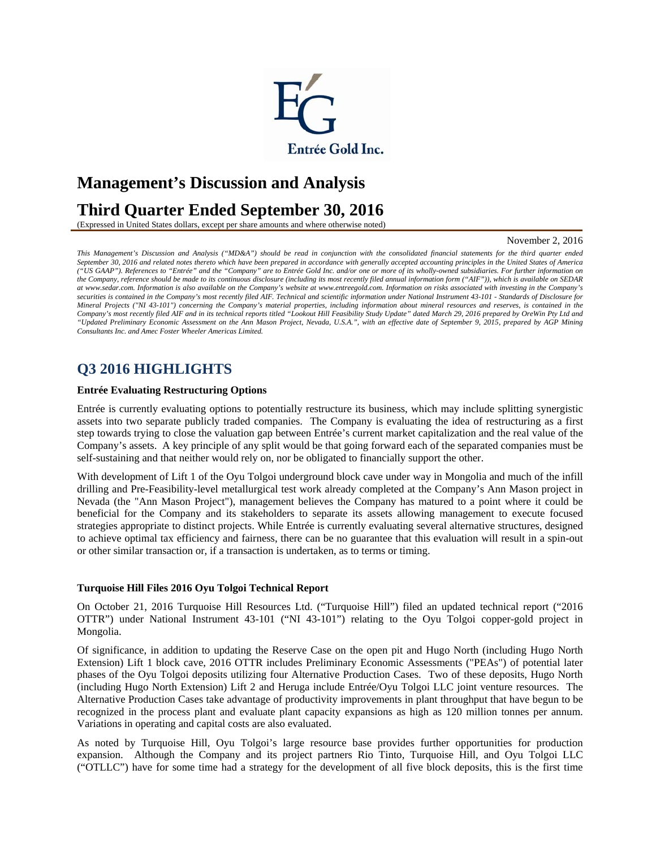

# **Management's Discussion and Analysis**

# **Third Quarter Ended September 30, 2016**

(Expressed in United States dollars, except per share amounts and where otherwise noted)

#### November 2, 2016

*This Management's Discussion and Analysis ("MD&A") should be read in conjunction with the consolidated financial statements for the third quarter ended September 30, 2016 and related notes thereto which have been prepared in accordance with generally accepted accounting principles in the United States of America ("US GAAP"). References to "Entrée" and the "Company" are to Entrée Gold Inc. and/or one or more of its wholly-owned subsidiaries. For further information on the Company, reference should be made to its continuous disclosure (including its most recently filed annual information form ("AIF")), which is available on SEDAR at www.sedar.com. Information is also available on the Company's website at www.entreegold.com. Information on risks associated with investing in the Company's*  securities is contained in the Company's most recently filed AIF. Technical and scientific information under National Instrument 43-101 - Standards of Disclosure for *Mineral Projects ("NI 43-101") concerning the Company's material properties, including information about mineral resources and reserves, is contained in the Company's most recently filed AIF and in its technical reports titled "Lookout Hill Feasibility Study Update" dated March 29, 2016 prepared by OreWin Pty Ltd and "Updated Preliminary Economic Assessment on the Ann Mason Project, Nevada, U.S.A.", with an effective date of September 9, 2015, prepared by AGP Mining Consultants Inc. and Amec Foster Wheeler Americas Limited.* 

# **Q3 2016 HIGHLIGHTS**

#### **Entrée Evaluating Restructuring Options**

Entrée is currently evaluating options to potentially restructure its business, which may include splitting synergistic assets into two separate publicly traded companies. The Company is evaluating the idea of restructuring as a first step towards trying to close the valuation gap between Entrée's current market capitalization and the real value of the Company's assets. A key principle of any split would be that going forward each of the separated companies must be self-sustaining and that neither would rely on, nor be obligated to financially support the other.

With development of Lift 1 of the Oyu Tolgoi underground block cave under way in Mongolia and much of the infill drilling and Pre-Feasibility-level metallurgical test work already completed at the Company's Ann Mason project in Nevada (the "Ann Mason Project"), management believes the Company has matured to a point where it could be beneficial for the Company and its stakeholders to separate its assets allowing management to execute focused strategies appropriate to distinct projects. While Entrée is currently evaluating several alternative structures, designed to achieve optimal tax efficiency and fairness, there can be no guarantee that this evaluation will result in a spin-out or other similar transaction or, if a transaction is undertaken, as to terms or timing.

#### **Turquoise Hill Files 2016 Oyu Tolgoi Technical Report**

On October 21, 2016 Turquoise Hill Resources Ltd. ("Turquoise Hill") filed an updated technical report ("2016 OTTR") under National Instrument 43-101 ("NI 43-101") relating to the Oyu Tolgoi copper-gold project in Mongolia.

Of significance, in addition to updating the Reserve Case on the open pit and Hugo North (including Hugo North Extension) Lift 1 block cave, 2016 OTTR includes Preliminary Economic Assessments ("PEAs") of potential later phases of the Oyu Tolgoi deposits utilizing four Alternative Production Cases. Two of these deposits, Hugo North (including Hugo North Extension) Lift 2 and Heruga include Entrée/Oyu Tolgoi LLC joint venture resources. The Alternative Production Cases take advantage of productivity improvements in plant throughput that have begun to be recognized in the process plant and evaluate plant capacity expansions as high as 120 million tonnes per annum. Variations in operating and capital costs are also evaluated.

As noted by Turquoise Hill, Oyu Tolgoi's large resource base provides further opportunities for production expansion. Although the Company and its project partners Rio Tinto, Turquoise Hill, and Oyu Tolgoi LLC ("OTLLC") have for some time had a strategy for the development of all five block deposits, this is the first time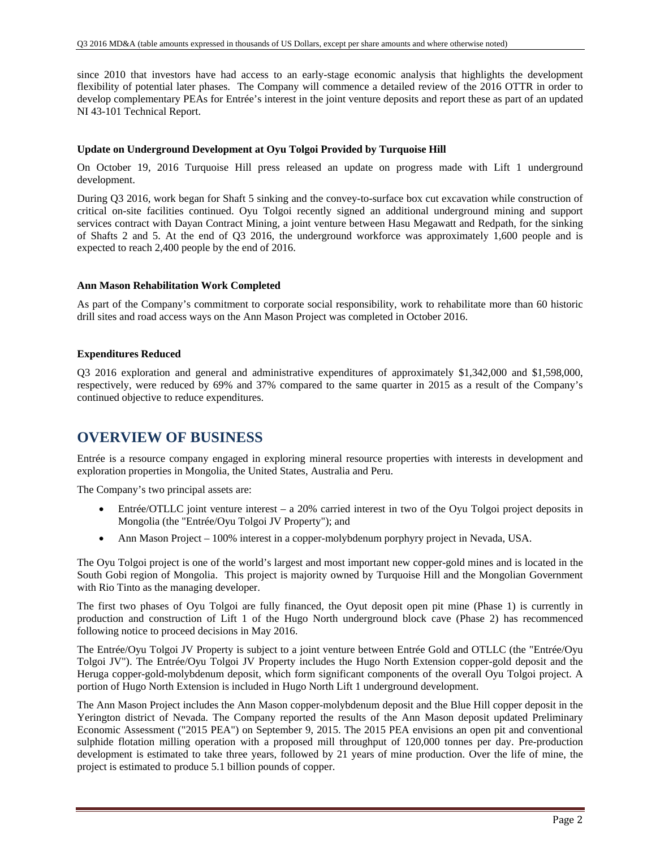since 2010 that investors have had access to an early-stage economic analysis that highlights the development flexibility of potential later phases. The Company will commence a detailed review of the 2016 OTTR in order to develop complementary PEAs for Entrée's interest in the joint venture deposits and report these as part of an updated NI 43-101 Technical Report.

### **Update on Underground Development at Oyu Tolgoi Provided by Turquoise Hill**

On October 19, 2016 Turquoise Hill press released an update on progress made with Lift 1 underground development.

During Q3 2016, work began for Shaft 5 sinking and the convey-to-surface box cut excavation while construction of critical on-site facilities continued. Oyu Tolgoi recently signed an additional underground mining and support services contract with Dayan Contract Mining, a joint venture between Hasu Megawatt and Redpath, for the sinking of Shafts 2 and 5. At the end of Q3 2016, the underground workforce was approximately 1,600 people and is expected to reach 2,400 people by the end of 2016.

### **Ann Mason Rehabilitation Work Completed**

As part of the Company's commitment to corporate social responsibility, work to rehabilitate more than 60 historic drill sites and road access ways on the Ann Mason Project was completed in October 2016.

### **Expenditures Reduced**

Q3 2016 exploration and general and administrative expenditures of approximately \$1,342,000 and \$1,598,000, respectively, were reduced by 69% and 37% compared to the same quarter in 2015 as a result of the Company's continued objective to reduce expenditures.

# **OVERVIEW OF BUSINESS**

Entrée is a resource company engaged in exploring mineral resource properties with interests in development and exploration properties in Mongolia, the United States, Australia and Peru.

The Company's two principal assets are:

- Entrée/OTLLC joint venture interest a 20% carried interest in two of the Oyu Tolgoi project deposits in Mongolia (the "Entrée/Oyu Tolgoi JV Property"); and
- Ann Mason Project 100% interest in a copper-molybdenum porphyry project in Nevada, USA.

The Oyu Tolgoi project is one of the world's largest and most important new copper-gold mines and is located in the South Gobi region of Mongolia. This project is majority owned by Turquoise Hill and the Mongolian Government with Rio Tinto as the managing developer.

The first two phases of Oyu Tolgoi are fully financed, the Oyut deposit open pit mine (Phase 1) is currently in production and construction of Lift 1 of the Hugo North underground block cave (Phase 2) has recommenced following notice to proceed decisions in May 2016.

The Entrée/Oyu Tolgoi JV Property is subject to a joint venture between Entrée Gold and OTLLC (the "Entrée/Oyu Tolgoi JV"). The Entrée/Oyu Tolgoi JV Property includes the Hugo North Extension copper-gold deposit and the Heruga copper-gold-molybdenum deposit, which form significant components of the overall Oyu Tolgoi project. A portion of Hugo North Extension is included in Hugo North Lift 1 underground development.

The Ann Mason Project includes the Ann Mason copper-molybdenum deposit and the Blue Hill copper deposit in the Yerington district of Nevada. The Company reported the results of the Ann Mason deposit updated Preliminary Economic Assessment ("2015 PEA") on September 9, 2015. The 2015 PEA envisions an open pit and conventional sulphide flotation milling operation with a proposed mill throughput of 120,000 tonnes per day. Pre-production development is estimated to take three years, followed by 21 years of mine production. Over the life of mine, the project is estimated to produce 5.1 billion pounds of copper.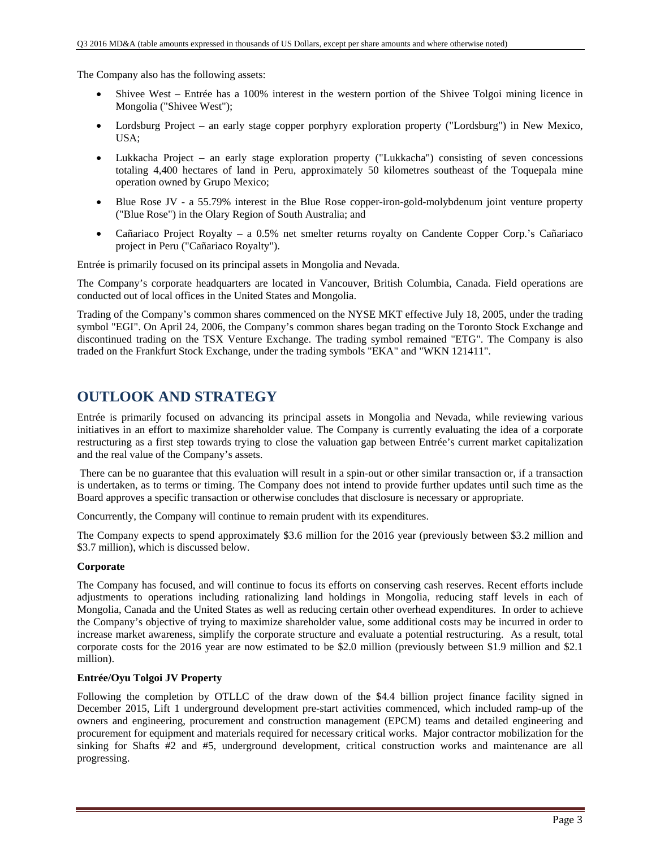The Company also has the following assets:

- Shivee West Entrée has a 100% interest in the western portion of the Shivee Tolgoi mining licence in Mongolia ("Shivee West");
- Lordsburg Project an early stage copper porphyry exploration property ("Lordsburg") in New Mexico, USA;
- Lukkacha Project an early stage exploration property ("Lukkacha") consisting of seven concessions totaling 4,400 hectares of land in Peru, approximately 50 kilometres southeast of the Toquepala mine operation owned by Grupo Mexico;
- Blue Rose JV a 55.79% interest in the Blue Rose copper-iron-gold-molybdenum joint venture property ("Blue Rose") in the Olary Region of South Australia; and
- Cañariaco Project Royalty a 0.5% net smelter returns royalty on Candente Copper Corp.'s Cañariaco project in Peru ("Cañariaco Royalty").

Entrée is primarily focused on its principal assets in Mongolia and Nevada.

The Company's corporate headquarters are located in Vancouver, British Columbia, Canada. Field operations are conducted out of local offices in the United States and Mongolia.

Trading of the Company's common shares commenced on the NYSE MKT effective July 18, 2005, under the trading symbol "EGI". On April 24, 2006, the Company's common shares began trading on the Toronto Stock Exchange and discontinued trading on the TSX Venture Exchange. The trading symbol remained "ETG". The Company is also traded on the Frankfurt Stock Exchange, under the trading symbols "EKA" and "WKN 121411".

# **OUTLOOK AND STRATEGY**

Entrée is primarily focused on advancing its principal assets in Mongolia and Nevada, while reviewing various initiatives in an effort to maximize shareholder value. The Company is currently evaluating the idea of a corporate restructuring as a first step towards trying to close the valuation gap between Entrée's current market capitalization and the real value of the Company's assets.

 There can be no guarantee that this evaluation will result in a spin-out or other similar transaction or, if a transaction is undertaken, as to terms or timing. The Company does not intend to provide further updates until such time as the Board approves a specific transaction or otherwise concludes that disclosure is necessary or appropriate.

Concurrently, the Company will continue to remain prudent with its expenditures.

The Company expects to spend approximately \$3.6 million for the 2016 year (previously between \$3.2 million and \$3.7 million), which is discussed below.

## **Corporate**

The Company has focused, and will continue to focus its efforts on conserving cash reserves. Recent efforts include adjustments to operations including rationalizing land holdings in Mongolia, reducing staff levels in each of Mongolia, Canada and the United States as well as reducing certain other overhead expenditures. In order to achieve the Company's objective of trying to maximize shareholder value, some additional costs may be incurred in order to increase market awareness, simplify the corporate structure and evaluate a potential restructuring. As a result, total corporate costs for the 2016 year are now estimated to be \$2.0 million (previously between \$1.9 million and \$2.1 million).

## **Entrée/Oyu Tolgoi JV Property**

Following the completion by OTLLC of the draw down of the \$4.4 billion project finance facility signed in December 2015, Lift 1 underground development pre-start activities commenced, which included ramp-up of the owners and engineering, procurement and construction management (EPCM) teams and detailed engineering and procurement for equipment and materials required for necessary critical works. Major contractor mobilization for the sinking for Shafts #2 and #5, underground development, critical construction works and maintenance are all progressing.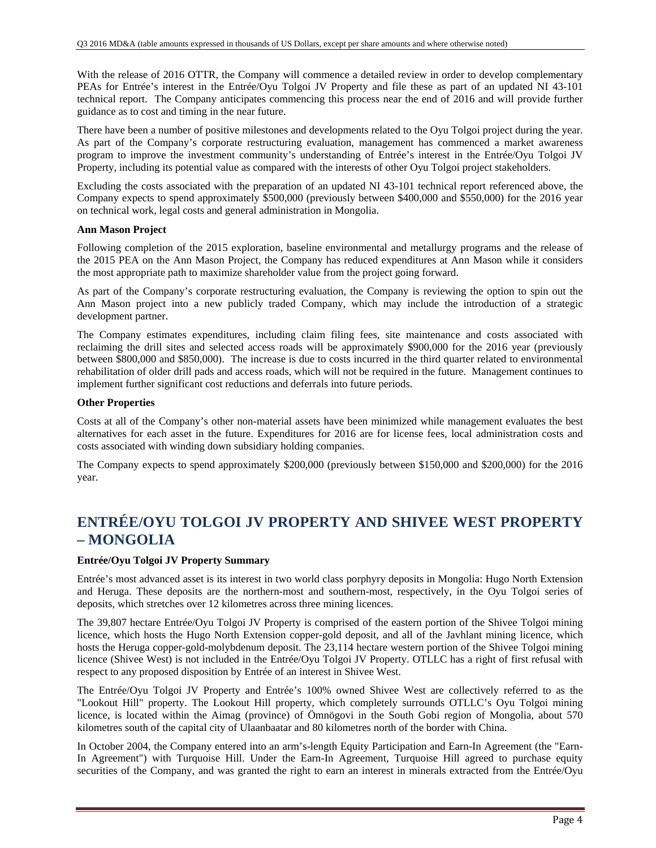With the release of 2016 OTTR, the Company will commence a detailed review in order to develop complementary PEAs for Entrée's interest in the Entrée/Oyu Tolgoi JV Property and file these as part of an updated NI 43-101 technical report. The Company anticipates commencing this process near the end of 2016 and will provide further guidance as to cost and timing in the near future.

There have been a number of positive milestones and developments related to the Oyu Tolgoi project during the year. As part of the Company's corporate restructuring evaluation, management has commenced a market awareness program to improve the investment community's understanding of Entrée's interest in the Entrée/Oyu Tolgoi JV Property, including its potential value as compared with the interests of other Oyu Tolgoi project stakeholders.

Excluding the costs associated with the preparation of an updated NI 43-101 technical report referenced above, the Company expects to spend approximately \$500,000 (previously between \$400,000 and \$550,000) for the 2016 year on technical work, legal costs and general administration in Mongolia.

### **Ann Mason Project**

Following completion of the 2015 exploration, baseline environmental and metallurgy programs and the release of the 2015 PEA on the Ann Mason Project, the Company has reduced expenditures at Ann Mason while it considers the most appropriate path to maximize shareholder value from the project going forward.

As part of the Company's corporate restructuring evaluation, the Company is reviewing the option to spin out the Ann Mason project into a new publicly traded Company, which may include the introduction of a strategic development partner.

The Company estimates expenditures, including claim filing fees, site maintenance and costs associated with reclaiming the drill sites and selected access roads will be approximately \$900,000 for the 2016 year (previously between \$800,000 and \$850,000). The increase is due to costs incurred in the third quarter related to environmental rehabilitation of older drill pads and access roads, which will not be required in the future. Management continues to implement further significant cost reductions and deferrals into future periods.

### **Other Properties**

Costs at all of the Company's other non-material assets have been minimized while management evaluates the best alternatives for each asset in the future. Expenditures for 2016 are for license fees, local administration costs and costs associated with winding down subsidiary holding companies.

The Company expects to spend approximately \$200,000 (previously between \$150,000 and \$200,000) for the 2016 year.

# **ENTRÉE/OYU TOLGOI JV PROPERTY AND SHIVEE WEST PROPERTY – MONGOLIA**

## **Entrée/Oyu Tolgoi JV Property Summary**

Entrée's most advanced asset is its interest in two world class porphyry deposits in Mongolia: Hugo North Extension and Heruga. These deposits are the northern-most and southern-most, respectively, in the Oyu Tolgoi series of deposits, which stretches over 12 kilometres across three mining licences.

The 39,807 hectare Entrée/Oyu Tolgoi JV Property is comprised of the eastern portion of the Shivee Tolgoi mining licence, which hosts the Hugo North Extension copper-gold deposit, and all of the Javhlant mining licence, which hosts the Heruga copper-gold-molybdenum deposit. The 23,114 hectare western portion of the Shivee Tolgoi mining licence (Shivee West) is not included in the Entrée/Oyu Tolgoi JV Property. OTLLC has a right of first refusal with respect to any proposed disposition by Entrée of an interest in Shivee West.

The Entrée/Oyu Tolgoi JV Property and Entrée's 100% owned Shivee West are collectively referred to as the "Lookout Hill" property. The Lookout Hill property, which completely surrounds OTLLC's Oyu Tolgoi mining licence, is located within the Aimag (province) of Ömnögovi in the South Gobi region of Mongolia, about 570 kilometres south of the capital city of Ulaanbaatar and 80 kilometres north of the border with China.

In October 2004, the Company entered into an arm's-length Equity Participation and Earn-In Agreement (the "Earn-In Agreement") with Turquoise Hill. Under the Earn-In Agreement, Turquoise Hill agreed to purchase equity securities of the Company, and was granted the right to earn an interest in minerals extracted from the Entrée/Oyu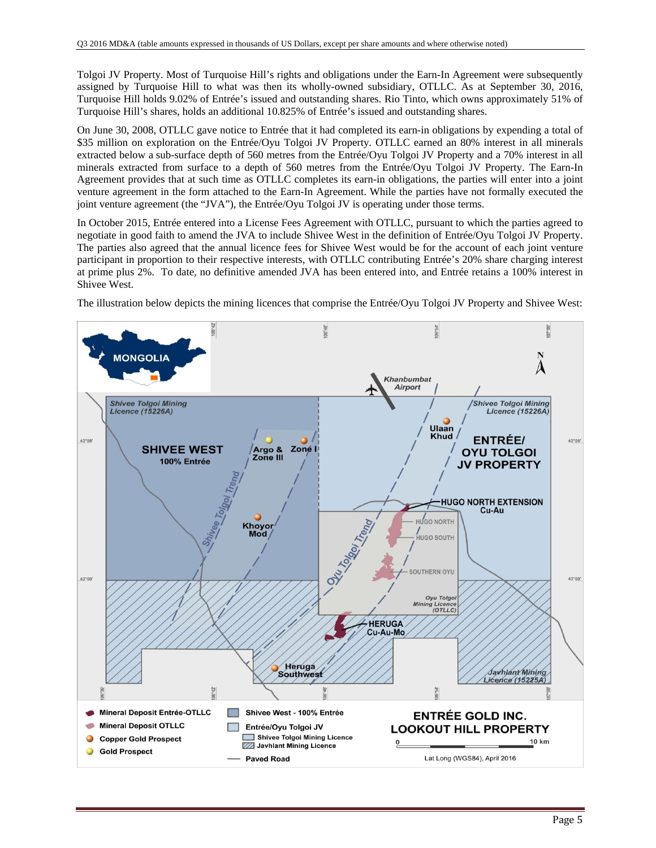Tolgoi JV Property. Most of Turquoise Hill's rights and obligations under the Earn-In Agreement were subsequently assigned by Turquoise Hill to what was then its wholly-owned subsidiary, OTLLC. As at September 30, 2016, Turquoise Hill holds 9.02% of Entrée's issued and outstanding shares. Rio Tinto, which owns approximately 51% of Turquoise Hill's shares, holds an additional 10.825% of Entrée's issued and outstanding shares.

On June 30, 2008, OTLLC gave notice to Entrée that it had completed its earn-in obligations by expending a total of \$35 million on exploration on the Entrée/Oyu Tolgoi JV Property. OTLLC earned an 80% interest in all minerals extracted below a sub-surface depth of 560 metres from the Entrée/Oyu Tolgoi JV Property and a 70% interest in all minerals extracted from surface to a depth of 560 metres from the Entrée/Oyu Tolgoi JV Property. The Earn-In Agreement provides that at such time as OTLLC completes its earn-in obligations, the parties will enter into a joint venture agreement in the form attached to the Earn-In Agreement. While the parties have not formally executed the joint venture agreement (the "JVA"), the Entrée/Oyu Tolgoi JV is operating under those terms.

In October 2015, Entrée entered into a License Fees Agreement with OTLLC, pursuant to which the parties agreed to negotiate in good faith to amend the JVA to include Shivee West in the definition of Entrée/Oyu Tolgoi JV Property. The parties also agreed that the annual licence fees for Shivee West would be for the account of each joint venture participant in proportion to their respective interests, with OTLLC contributing Entrée's 20% share charging interest at prime plus 2%. To date, no definitive amended JVA has been entered into, and Entrée retains a 100% interest in Shivee West.

The illustration below depicts the mining licences that comprise the Entrée/Oyu Tolgoi JV Property and Shivee West:

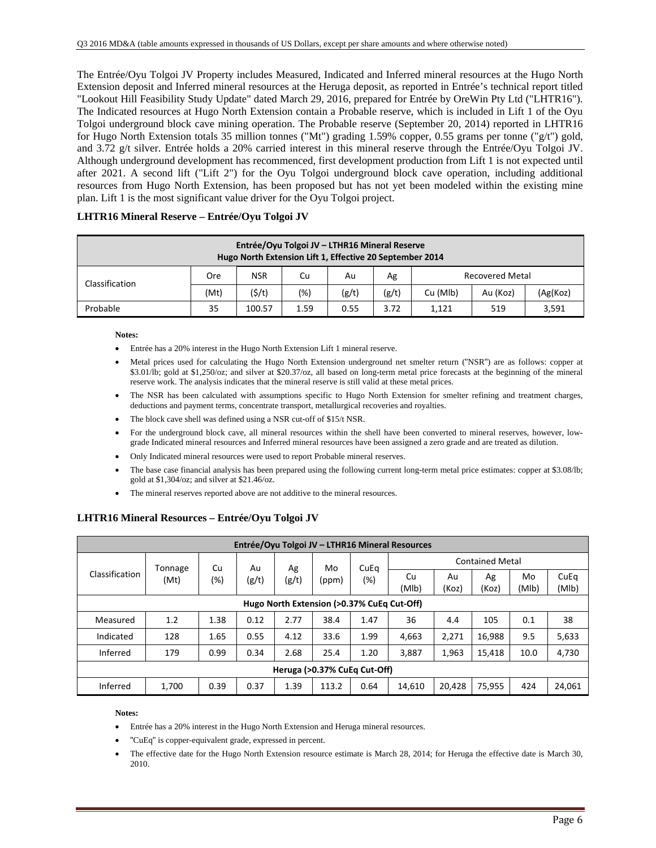The Entrée/Oyu Tolgoi JV Property includes Measured, Indicated and Inferred mineral resources at the Hugo North Extension deposit and Inferred mineral resources at the Heruga deposit, as reported in Entrée's technical report titled "Lookout Hill Feasibility Study Update" dated March 29, 2016, prepared for Entrée by OreWin Pty Ltd ("LHTR16"). The Indicated resources at Hugo North Extension contain a Probable reserve, which is included in Lift 1 of the Oyu Tolgoi underground block cave mining operation. The Probable reserve (September 20, 2014) reported in LHTR16 for Hugo North Extension totals 35 million tonnes ("Mt") grading 1.59% copper, 0.55 grams per tonne ("g/t") gold, and 3.72 g/t silver. Entrée holds a 20% carried interest in this mineral reserve through the Entrée/Oyu Tolgoi JV. Although underground development has recommenced, first development production from Lift 1 is not expected until after 2021. A second lift ("Lift 2") for the Oyu Tolgoi underground block cave operation, including additional resources from Hugo North Extension, has been proposed but has not yet been modeled within the existing mine plan. Lift 1 is the most significant value driver for the Oyu Tolgoi project.

| LHTR16 Mineral Reserve - Entrée/Oyu Tolgoi JV |  |  |  |  |
|-----------------------------------------------|--|--|--|--|
|-----------------------------------------------|--|--|--|--|

| Entrée/Oyu Tolgoi JV - LTHR16 Mineral Reserve<br>Hugo North Extension Lift 1, Effective 20 September 2014 |      |            |      |       |       |                        |          |          |  |  |
|-----------------------------------------------------------------------------------------------------------|------|------------|------|-------|-------|------------------------|----------|----------|--|--|
| Classification                                                                                            | Ore  | <b>NSR</b> | Cu   | Au    | Ag    | <b>Recovered Metal</b> |          |          |  |  |
|                                                                                                           | (Mt) | (\$/t)     | (%)  | (g/t) | (g/t) | Cu (Mlb)               | Au (Koz) | (Ag(Koz) |  |  |
| Probable                                                                                                  | 35   | 100.57     | 1.59 | 0.55  | 3.72  | 1,121                  | 519      | 3,591    |  |  |

#### **Notes:**

- Entrée has a 20% interest in the Hugo North Extension Lift 1 mineral reserve.
- Metal prices used for calculating the Hugo North Extension underground net smelter return ("NSR") are as follows: copper at \$3.01/lb; gold at \$1,250/oz; and silver at \$20.37/oz, all based on long-term metal price forecasts at the beginning of the mineral reserve work. The analysis indicates that the mineral reserve is still valid at these metal prices.
- The NSR has been calculated with assumptions specific to Hugo North Extension for smelter refining and treatment charges, deductions and payment terms, concentrate transport, metallurgical recoveries and royalties.
- The block cave shell was defined using a NSR cut-off of \$15/t NSR.
- For the underground block cave, all mineral resources within the shell have been converted to mineral reserves, however, lowgrade Indicated mineral resources and Inferred mineral resources have been assigned a zero grade and are treated as dilution.
- Only Indicated mineral resources were used to report Probable mineral reserves.
- The base case financial analysis has been prepared using the following current long-term metal price estimates: copper at \$3.08/lb; gold at \$1,304/oz; and silver at \$21.46/oz.
- The mineral reserves reported above are not additive to the mineral resources.

## **LHTR16 Mineral Resources – Entrée/Oyu Tolgoi JV**

| Entrée/Oyu Tolgoi JV - LTHR16 Mineral Resources |                                 |      |                        |       |       |      |             |             |             |             |               |
|-------------------------------------------------|---------------------------------|------|------------------------|-------|-------|------|-------------|-------------|-------------|-------------|---------------|
|                                                 | Mo<br>Ag<br>Cu<br>Au<br>Tonnage | CuEq | <b>Contained Metal</b> |       |       |      |             |             |             |             |               |
| Classification                                  | (Mt)                            | (%)  | (g/t)                  | (g/t) | (ppm) | (%)  | Cu<br>(MIb) | Au<br>(Koz) | Ag<br>(Koz) | Mo<br>(Mlb) | CuEq<br>(MIb) |
| Hugo North Extension (>0.37% CuEq Cut-Off)      |                                 |      |                        |       |       |      |             |             |             |             |               |
| Measured                                        | 1.2                             | 1.38 | 0.12                   | 2.77  | 38.4  | 1.47 | 36          | 4.4         | 105         | 0.1         | 38            |
| Indicated                                       | 128                             | 1.65 | 0.55                   | 4.12  | 33.6  | 1.99 | 4.663       | 2.271       | 16.988      | 9.5         | 5,633         |
| Inferred                                        | 179                             | 0.99 | 0.34                   | 2.68  | 25.4  | 1.20 | 3,887       | 1,963       | 15,418      | 10.0        | 4,730         |
| Heruga (>0.37% CuEq Cut-Off)                    |                                 |      |                        |       |       |      |             |             |             |             |               |
| Inferred                                        | 1,700                           | 0.39 | 0.37                   | 1.39  | 113.2 | 0.64 | 14,610      | 20,428      | 75,955      | 424         | 24,061        |

#### **Notes:**

- Entrée has a 20% interest in the Hugo North Extension and Heruga mineral resources.
- "CuEq" is copper-equivalent grade, expressed in percent.
- The effective date for the Hugo North Extension resource estimate is March 28, 2014; for Heruga the effective date is March 30, 2010.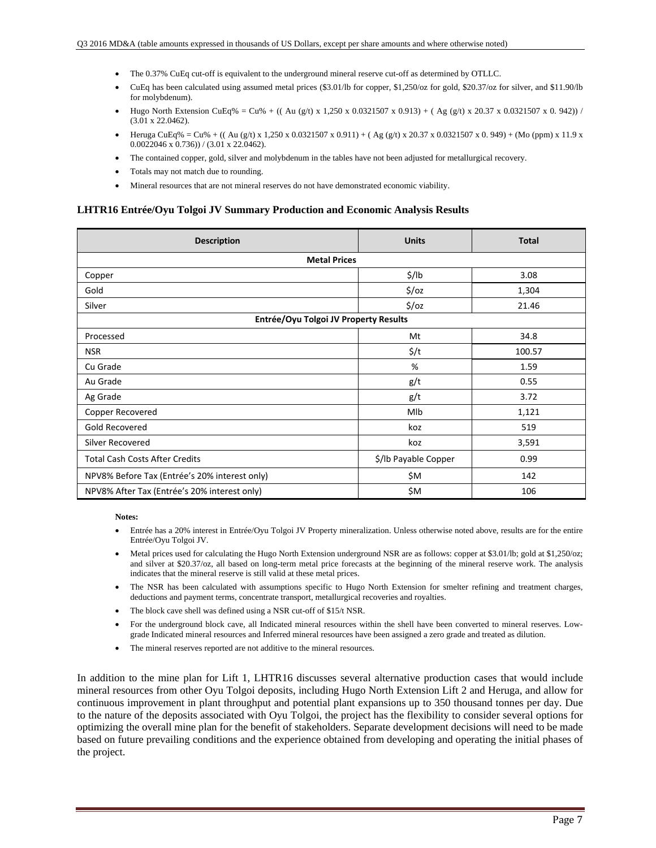- The 0.37% CuEq cut-off is equivalent to the underground mineral reserve cut-off as determined by OTLLC.
- CuEq has been calculated using assumed metal prices (\$3.01/lb for copper, \$1,250/oz for gold, \$20.37/oz for silver, and \$11.90/lb for molybdenum).
- Hugo North Extension CuEq% = Cu% + ((Au (g/t) x 1,250 x 0.0321507 x 0.913) + (Ag (g/t) x 20.37 x 0.0321507 x 0.942)) / (3.01 x 22.0462).
- $\bullet$  Heruga CuEq% = Cu% + ((Au (g/t) x 1,250 x 0.0321507 x 0.911) + (Ag (g/t) x 20.37 x 0.0321507 x 0.949) + (Mo (ppm) x 11.9 x 0.0022046 x 0.736)) / (3.01 x 22.0462).
- The contained copper, gold, silver and molybdenum in the tables have not been adjusted for metallurgical recovery.
- Totals may not match due to rounding.
- Mineral resources that are not mineral reserves do not have demonstrated economic viability.

#### **LHTR16 Entrée/Oyu Tolgoi JV Summary Production and Economic Analysis Results**

| <b>Description</b>                            | <b>Units</b>                          | <b>Total</b> |  |  |  |  |  |  |  |  |
|-----------------------------------------------|---------------------------------------|--------------|--|--|--|--|--|--|--|--|
| <b>Metal Prices</b>                           |                                       |              |  |  |  |  |  |  |  |  |
| Copper                                        | $\frac{1}{2}$ /lb                     | 3.08         |  |  |  |  |  |  |  |  |
| Gold                                          | $\frac{2}{3}$ /0z                     | 1,304        |  |  |  |  |  |  |  |  |
| Silver                                        | $\frac{2}{3}$ /0z                     | 21.46        |  |  |  |  |  |  |  |  |
|                                               | Entrée/Oyu Tolgoi JV Property Results |              |  |  |  |  |  |  |  |  |
| Processed                                     | Mt                                    | 34.8         |  |  |  |  |  |  |  |  |
| <b>NSR</b>                                    | $\frac{2}{3}$ /t                      | 100.57       |  |  |  |  |  |  |  |  |
| Cu Grade                                      | %                                     | 1.59         |  |  |  |  |  |  |  |  |
| Au Grade                                      | g/t                                   | 0.55         |  |  |  |  |  |  |  |  |
| Ag Grade                                      | g/t                                   | 3.72         |  |  |  |  |  |  |  |  |
| Copper Recovered                              | Mlb                                   | 1,121        |  |  |  |  |  |  |  |  |
| Gold Recovered                                | koz                                   | 519          |  |  |  |  |  |  |  |  |
| Silver Recovered                              | koz                                   | 3,591        |  |  |  |  |  |  |  |  |
| <b>Total Cash Costs After Credits</b>         | \$/lb Payable Copper                  | 0.99         |  |  |  |  |  |  |  |  |
| NPV8% Before Tax (Entrée's 20% interest only) | \$M                                   | 142          |  |  |  |  |  |  |  |  |
| NPV8% After Tax (Entrée's 20% interest only)  | \$M                                   | 106          |  |  |  |  |  |  |  |  |

**Notes:** 

- Entrée has a 20% interest in Entrée/Oyu Tolgoi JV Property mineralization. Unless otherwise noted above, results are for the entire Entrée/Oyu Tolgoi JV.
- Metal prices used for calculating the Hugo North Extension underground NSR are as follows: copper at \$3.01/lb; gold at \$1,250/oz; and silver at \$20.37/oz, all based on long-term metal price forecasts at the beginning of the mineral reserve work. The analysis indicates that the mineral reserve is still valid at these metal prices.
- The NSR has been calculated with assumptions specific to Hugo North Extension for smelter refining and treatment charges, deductions and payment terms, concentrate transport, metallurgical recoveries and royalties.
- The block cave shell was defined using a NSR cut-off of \$15/t NSR.
- For the underground block cave, all Indicated mineral resources within the shell have been converted to mineral reserves. Lowgrade Indicated mineral resources and Inferred mineral resources have been assigned a zero grade and treated as dilution.
- The mineral reserves reported are not additive to the mineral resources.

In addition to the mine plan for Lift 1, LHTR16 discusses several alternative production cases that would include mineral resources from other Oyu Tolgoi deposits, including Hugo North Extension Lift 2 and Heruga, and allow for continuous improvement in plant throughput and potential plant expansions up to 350 thousand tonnes per day. Due to the nature of the deposits associated with Oyu Tolgoi, the project has the flexibility to consider several options for optimizing the overall mine plan for the benefit of stakeholders. Separate development decisions will need to be made based on future prevailing conditions and the experience obtained from developing and operating the initial phases of the project.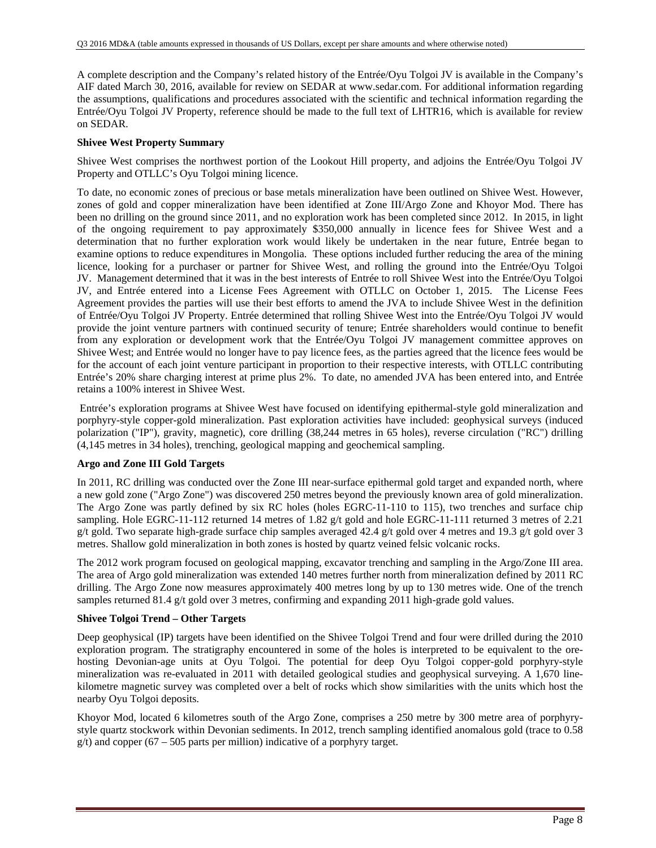A complete description and the Company's related history of the Entrée/Oyu Tolgoi JV is available in the Company's AIF dated March 30, 2016, available for review on SEDAR at www.sedar.com. For additional information regarding the assumptions, qualifications and procedures associated with the scientific and technical information regarding the Entrée/Oyu Tolgoi JV Property, reference should be made to the full text of LHTR16, which is available for review on SEDAR.

### **Shivee West Property Summary**

Shivee West comprises the northwest portion of the Lookout Hill property, and adjoins the Entrée/Oyu Tolgoi JV Property and OTLLC's Oyu Tolgoi mining licence.

To date, no economic zones of precious or base metals mineralization have been outlined on Shivee West. However, zones of gold and copper mineralization have been identified at Zone III/Argo Zone and Khoyor Mod. There has been no drilling on the ground since 2011, and no exploration work has been completed since 2012. In 2015, in light of the ongoing requirement to pay approximately \$350,000 annually in licence fees for Shivee West and a determination that no further exploration work would likely be undertaken in the near future, Entrée began to examine options to reduce expenditures in Mongolia. These options included further reducing the area of the mining licence, looking for a purchaser or partner for Shivee West, and rolling the ground into the Entrée/Oyu Tolgoi JV. Management determined that it was in the best interests of Entrée to roll Shivee West into the Entrée/Oyu Tolgoi JV, and Entrée entered into a License Fees Agreement with OTLLC on October 1, 2015. The License Fees Agreement provides the parties will use their best efforts to amend the JVA to include Shivee West in the definition of Entrée/Oyu Tolgoi JV Property. Entrée determined that rolling Shivee West into the Entrée/Oyu Tolgoi JV would provide the joint venture partners with continued security of tenure; Entrée shareholders would continue to benefit from any exploration or development work that the Entrée/Oyu Tolgoi JV management committee approves on Shivee West; and Entrée would no longer have to pay licence fees, as the parties agreed that the licence fees would be for the account of each joint venture participant in proportion to their respective interests, with OTLLC contributing Entrée's 20% share charging interest at prime plus 2%. To date, no amended JVA has been entered into, and Entrée retains a 100% interest in Shivee West.

 Entrée's exploration programs at Shivee West have focused on identifying epithermal-style gold mineralization and porphyry-style copper-gold mineralization. Past exploration activities have included: geophysical surveys (induced polarization ("IP"), gravity, magnetic), core drilling (38,244 metres in 65 holes), reverse circulation ("RC") drilling (4,145 metres in 34 holes), trenching, geological mapping and geochemical sampling.

#### **Argo and Zone III Gold Targets**

In 2011, RC drilling was conducted over the Zone III near-surface epithermal gold target and expanded north, where a new gold zone ("Argo Zone") was discovered 250 metres beyond the previously known area of gold mineralization. The Argo Zone was partly defined by six RC holes (holes EGRC-11-110 to 115), two trenches and surface chip sampling. Hole EGRC-11-112 returned 14 metres of 1.82 g/t gold and hole EGRC-11-111 returned 3 metres of 2.21 g/t gold. Two separate high-grade surface chip samples averaged 42.4 g/t gold over 4 metres and 19.3 g/t gold over 3 metres. Shallow gold mineralization in both zones is hosted by quartz veined felsic volcanic rocks.

The 2012 work program focused on geological mapping, excavator trenching and sampling in the Argo/Zone III area. The area of Argo gold mineralization was extended 140 metres further north from mineralization defined by 2011 RC drilling. The Argo Zone now measures approximately 400 metres long by up to 130 metres wide. One of the trench samples returned 81.4 g/t gold over 3 metres, confirming and expanding 2011 high-grade gold values.

## **Shivee Tolgoi Trend – Other Targets**

Deep geophysical (IP) targets have been identified on the Shivee Tolgoi Trend and four were drilled during the 2010 exploration program. The stratigraphy encountered in some of the holes is interpreted to be equivalent to the orehosting Devonian-age units at Oyu Tolgoi. The potential for deep Oyu Tolgoi copper-gold porphyry-style mineralization was re-evaluated in 2011 with detailed geological studies and geophysical surveying. A 1,670 linekilometre magnetic survey was completed over a belt of rocks which show similarities with the units which host the nearby Oyu Tolgoi deposits.

Khoyor Mod, located 6 kilometres south of the Argo Zone, comprises a 250 metre by 300 metre area of porphyrystyle quartz stockwork within Devonian sediments. In 2012, trench sampling identified anomalous gold (trace to 0.58  $g(t)$  and copper (67 – 505 parts per million) indicative of a porphyry target.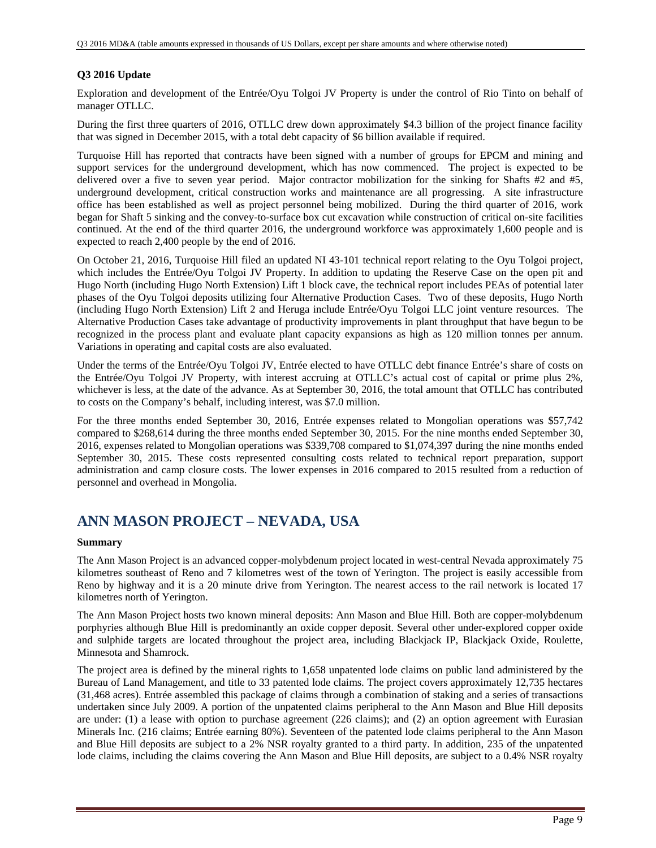## **Q3 2016 Update**

Exploration and development of the Entrée/Oyu Tolgoi JV Property is under the control of Rio Tinto on behalf of manager OTLLC.

During the first three quarters of 2016, OTLLC drew down approximately \$4.3 billion of the project finance facility that was signed in December 2015, with a total debt capacity of \$6 billion available if required.

Turquoise Hill has reported that contracts have been signed with a number of groups for EPCM and mining and support services for the underground development, which has now commenced. The project is expected to be delivered over a five to seven year period. Major contractor mobilization for the sinking for Shafts #2 and #5, underground development, critical construction works and maintenance are all progressing. A site infrastructure office has been established as well as project personnel being mobilized. During the third quarter of 2016, work began for Shaft 5 sinking and the convey-to-surface box cut excavation while construction of critical on-site facilities continued. At the end of the third quarter 2016, the underground workforce was approximately 1,600 people and is expected to reach 2,400 people by the end of 2016.

On October 21, 2016, Turquoise Hill filed an updated NI 43-101 technical report relating to the Oyu Tolgoi project, which includes the Entrée/Oyu Tolgoi JV Property. In addition to updating the Reserve Case on the open pit and Hugo North (including Hugo North Extension) Lift 1 block cave, the technical report includes PEAs of potential later phases of the Oyu Tolgoi deposits utilizing four Alternative Production Cases. Two of these deposits, Hugo North (including Hugo North Extension) Lift 2 and Heruga include Entrée/Oyu Tolgoi LLC joint venture resources. The Alternative Production Cases take advantage of productivity improvements in plant throughput that have begun to be recognized in the process plant and evaluate plant capacity expansions as high as 120 million tonnes per annum. Variations in operating and capital costs are also evaluated.

Under the terms of the Entrée/Oyu Tolgoi JV, Entrée elected to have OTLLC debt finance Entrée's share of costs on the Entrée/Oyu Tolgoi JV Property, with interest accruing at OTLLC's actual cost of capital or prime plus 2%, whichever is less, at the date of the advance. As at September 30, 2016, the total amount that OTLLC has contributed to costs on the Company's behalf, including interest, was \$7.0 million.

For the three months ended September 30, 2016, Entrée expenses related to Mongolian operations was \$57,742 compared to \$268,614 during the three months ended September 30, 2015. For the nine months ended September 30, 2016, expenses related to Mongolian operations was \$339,708 compared to \$1,074,397 during the nine months ended September 30, 2015. These costs represented consulting costs related to technical report preparation, support administration and camp closure costs. The lower expenses in 2016 compared to 2015 resulted from a reduction of personnel and overhead in Mongolia.

# **ANN MASON PROJECT – NEVADA, USA**

## **Summary**

The Ann Mason Project is an advanced copper-molybdenum project located in west-central Nevada approximately 75 kilometres southeast of Reno and 7 kilometres west of the town of Yerington. The project is easily accessible from Reno by highway and it is a 20 minute drive from Yerington. The nearest access to the rail network is located 17 kilometres north of Yerington.

The Ann Mason Project hosts two known mineral deposits: Ann Mason and Blue Hill. Both are copper-molybdenum porphyries although Blue Hill is predominantly an oxide copper deposit. Several other under-explored copper oxide and sulphide targets are located throughout the project area, including Blackjack IP, Blackjack Oxide, Roulette, Minnesota and Shamrock.

The project area is defined by the mineral rights to 1,658 unpatented lode claims on public land administered by the Bureau of Land Management, and title to 33 patented lode claims. The project covers approximately 12,735 hectares (31,468 acres). Entrée assembled this package of claims through a combination of staking and a series of transactions undertaken since July 2009. A portion of the unpatented claims peripheral to the Ann Mason and Blue Hill deposits are under: (1) a lease with option to purchase agreement (226 claims); and (2) an option agreement with Eurasian Minerals Inc. (216 claims; Entrée earning 80%). Seventeen of the patented lode claims peripheral to the Ann Mason and Blue Hill deposits are subject to a 2% NSR royalty granted to a third party. In addition, 235 of the unpatented lode claims, including the claims covering the Ann Mason and Blue Hill deposits, are subject to a 0.4% NSR royalty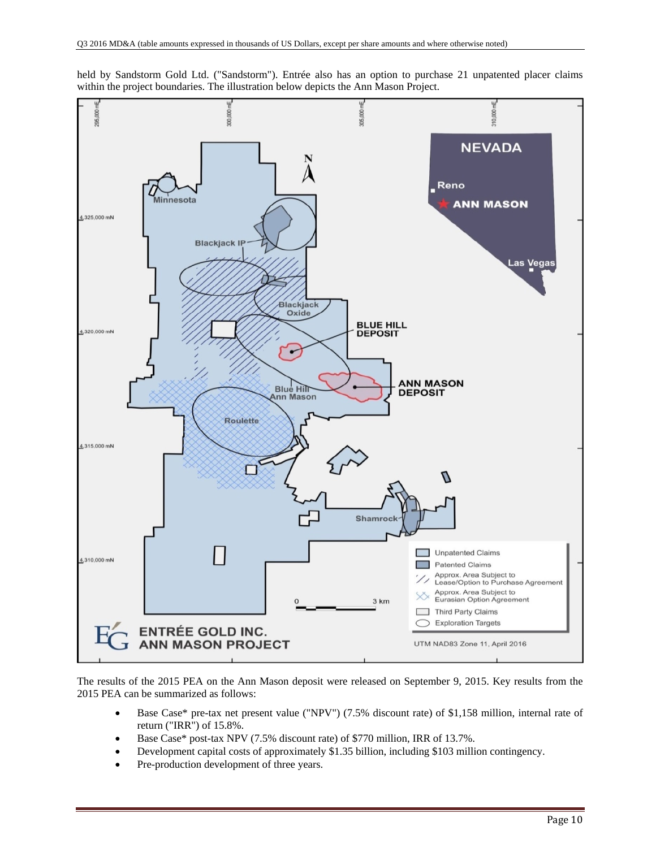

held by Sandstorm Gold Ltd. ("Sandstorm"). Entrée also has an option to purchase 21 unpatented placer claims within the project boundaries. The illustration below depicts the Ann Mason Project.

The results of the 2015 PEA on the Ann Mason deposit were released on September 9, 2015. Key results from the 2015 PEA can be summarized as follows:

- Base Case\* pre-tax net present value ("NPV") (7.5% discount rate) of \$1,158 million, internal rate of return ("IRR") of 15.8%.
- Base Case\* post-tax NPV (7.5% discount rate) of \$770 million, IRR of 13.7%.
- Development capital costs of approximately \$1.35 billion, including \$103 million contingency.
- Pre-production development of three years.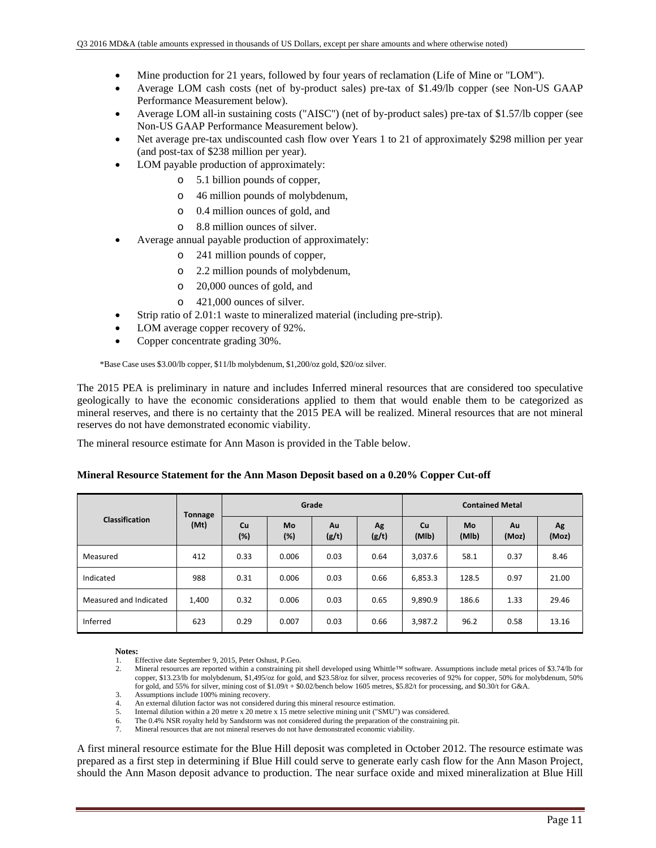- Mine production for 21 years, followed by four years of reclamation (Life of Mine or "LOM").
- Average LOM cash costs (net of by-product sales) pre-tax of \$1.49/lb copper (see Non-US GAAP Performance Measurement below).
- Average LOM all-in sustaining costs ("AISC") (net of by-product sales) pre-tax of \$1.57/lb copper (see Non-US GAAP Performance Measurement below).
- Net average pre-tax undiscounted cash flow over Years 1 to 21 of approximately \$298 million per year (and post-tax of \$238 million per year).
- LOM payable production of approximately:
	- o 5.1 billion pounds of copper,
	- o 46 million pounds of molybdenum,
	- o 0.4 million ounces of gold, and
	- o 8.8 million ounces of silver.
- Average annual payable production of approximately:
	- o 241 million pounds of copper,
	- o 2.2 million pounds of molybdenum,
	- o 20,000 ounces of gold, and
	- o 421,000 ounces of silver.
- Strip ratio of 2.01:1 waste to mineralized material (including pre-strip).
- LOM average copper recovery of 92%.
- Copper concentrate grading 30%.

\*Base Case uses \$3.00/lb copper, \$11/lb molybdenum, \$1,200/oz gold, \$20/oz silver.

The 2015 PEA is preliminary in nature and includes Inferred mineral resources that are considered too speculative geologically to have the economic considerations applied to them that would enable them to be categorized as mineral reserves, and there is no certainty that the 2015 PEA will be realized. Mineral resources that are not mineral reserves do not have demonstrated economic viability.

The mineral resource estimate for Ann Mason is provided in the Table below.

#### **Mineral Resource Statement for the Ann Mason Deposit based on a 0.20% Copper Cut-off**

|                        | <b>Tonnage</b> |           | Grade     |             |             | <b>Contained Metal</b> |             |                    |             |
|------------------------|----------------|-----------|-----------|-------------|-------------|------------------------|-------------|--------------------|-------------|
| Classification         | (Mt)           | Cu<br>(%) | Mo<br>(%) | Au<br>(g/t) | Ag<br>(g/t) | Cu<br>(MIb)            | Mo<br>(MIb) | <b>Au</b><br>(Moz) | Ag<br>(Moz) |
| Measured               | 412            | 0.33      | 0.006     | 0.03        | 0.64        | 3,037.6                | 58.1        | 0.37               | 8.46        |
| Indicated              | 988            | 0.31      | 0.006     | 0.03        | 0.66        | 6,853.3                | 128.5       | 0.97               | 21.00       |
| Measured and Indicated | 1,400          | 0.32      | 0.006     | 0.03        | 0.65        | 9,890.9                | 186.6       | 1.33               | 29.46       |
| Inferred               | 623            | 0.29      | 0.007     | 0.03        | 0.66        | 3,987.2                | 96.2        | 0.58               | 13.16       |

#### **Notes:**

- 1. Effective date September 9, 2015, Peter Oshust, P.Geo.<br>2. Mineral resources are reported within a constraining pit
- 2. Mineral resources are reported within a constraining pit shell developed using Whittle™ software. Assumptions include metal prices of \$3.74/lb for copper, \$13.23/lb for molybdenum, \$1,495/oz for gold, and \$23.58/oz for silver, process recoveries of 92% for copper, 50% for molybdenum, 50% for gold, and 55% for silver, mining cost of \$1.09/t + \$0.02/bench below 1605 metres, \$5.82/t for processing, and \$0.30/t for G&A. 3. Assumptions include 100% mining recovery.
- 4. An external dilution factor was not considered during this mineral resource estimation.
- 5. Internal dilution within a 20 metre x 20 metre x 15 metre selective mining unit ("SMU") was considered.
- 6. The 0.4% NSR royalty held by Sandstorm was not considered during the preparation of the constraining pit.
- 7. Mineral resources that are not mineral reserves do not have demonstrated economic viability.

A first mineral resource estimate for the Blue Hill deposit was completed in October 2012. The resource estimate was prepared as a first step in determining if Blue Hill could serve to generate early cash flow for the Ann Mason Project, should the Ann Mason deposit advance to production. The near surface oxide and mixed mineralization at Blue Hill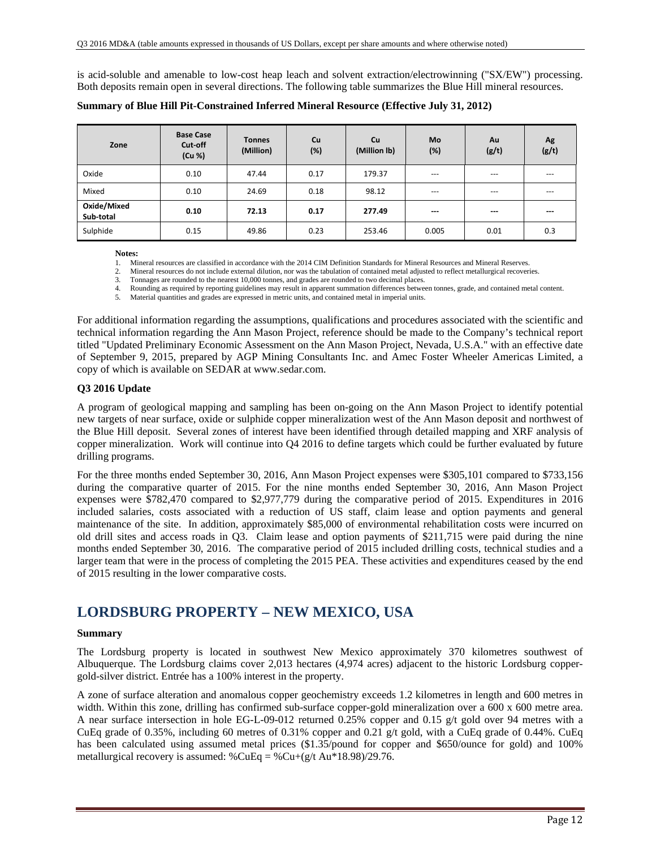is acid-soluble and amenable to low-cost heap leach and solvent extraction/electrowinning ("SX/EW") processing. Both deposits remain open in several directions. The following table summarizes the Blue Hill mineral resources.

| Zone                     | <b>Base Case</b><br>Cut-off<br>(Cu %) | <b>Tonnes</b><br>(Million) | <b>Cu</b><br>(%) | <b>Cu</b><br>(Million lb) | Mo<br>(%) | Au<br>(g/t)       | Ag<br>(g/t) |
|--------------------------|---------------------------------------|----------------------------|------------------|---------------------------|-----------|-------------------|-------------|
| Oxide                    | 0.10                                  | 47.44                      | 0.17             | 179.37                    | $---$     | $---$             | $---$       |
| Mixed                    | 0.10                                  | 24.69                      | 0.18             | 98.12                     | $---$     | $---$             | $---$       |
| Oxide/Mixed<br>Sub-total | 0.10                                  | 72.13                      | 0.17             | 277.49                    | $--$      | <b>STATISTICS</b> | $\sim$      |
| Sulphide                 | 0.15                                  | 49.86                      | 0.23             | 253.46                    | 0.005     | 0.01              | 0.3         |

**Summary of Blue Hill Pit-Constrained Inferred Mineral Resource (Effective July 31, 2012)** 

**Notes:** 

1. Mineral resources are classified in accordance with the 2014 CIM Definition Standards for Mineral Resources and Mineral Reserves.<br>2. Mineral resources do not include external dilution, nor was the tabulation of containe

2. Mineral resources do not include external dilution, nor was the tabulation of contained metal adjusted to reflect metallurgical recoveries.

3. Tonnages are rounded to the nearest 10,000 tonnes, and grades are rounded to two decimal places.

4. Rounding as required by reporting guidelines may result in apparent summation differences between tonnes, grade, and contained metal content. 4. Rounding as required by reporting guidelines may result in apparent summation differences between 5. Material quantities and grades are expressed in metric units, and contained metal in imperial units.

For additional information regarding the assumptions, qualifications and procedures associated with the scientific and technical information regarding the Ann Mason Project, reference should be made to the Company's technical report titled "Updated Preliminary Economic Assessment on the Ann Mason Project, Nevada, U.S.A." with an effective date of September 9, 2015, prepared by AGP Mining Consultants Inc. and Amec Foster Wheeler Americas Limited, a copy of which is available on SEDAR at www.sedar.com.

## **Q3 2016 Update**

A program of geological mapping and sampling has been on-going on the Ann Mason Project to identify potential new targets of near surface, oxide or sulphide copper mineralization west of the Ann Mason deposit and northwest of the Blue Hill deposit. Several zones of interest have been identified through detailed mapping and XRF analysis of copper mineralization. Work will continue into Q4 2016 to define targets which could be further evaluated by future drilling programs.

For the three months ended September 30, 2016, Ann Mason Project expenses were \$305,101 compared to \$733,156 during the comparative quarter of 2015. For the nine months ended September 30, 2016, Ann Mason Project expenses were \$782,470 compared to \$2,977,779 during the comparative period of 2015. Expenditures in 2016 included salaries, costs associated with a reduction of US staff, claim lease and option payments and general maintenance of the site. In addition, approximately \$85,000 of environmental rehabilitation costs were incurred on old drill sites and access roads in Q3. Claim lease and option payments of \$211,715 were paid during the nine months ended September 30, 2016. The comparative period of 2015 included drilling costs, technical studies and a larger team that were in the process of completing the 2015 PEA. These activities and expenditures ceased by the end of 2015 resulting in the lower comparative costs.

# **LORDSBURG PROPERTY – NEW MEXICO, USA**

## **Summary**

The Lordsburg property is located in southwest New Mexico approximately 370 kilometres southwest of Albuquerque. The Lordsburg claims cover 2,013 hectares (4,974 acres) adjacent to the historic Lordsburg coppergold-silver district. Entrée has a 100% interest in the property.

A zone of surface alteration and anomalous copper geochemistry exceeds 1.2 kilometres in length and 600 metres in width. Within this zone, drilling has confirmed sub-surface copper-gold mineralization over a 600 x 600 metre area. A near surface intersection in hole EG-L-09-012 returned 0.25% copper and 0.15 g/t gold over 94 metres with a CuEq grade of 0.35%, including 60 metres of 0.31% copper and 0.21 g/t gold, with a CuEq grade of 0.44%. CuEq has been calculated using assumed metal prices (\$1.35/pound for copper and \$650/ounce for gold) and 100% metallurgical recovery is assumed:  $\%$ CuEq =  $\%$ Cu+(g/t Au<sup>\*</sup>18.98)/29.76.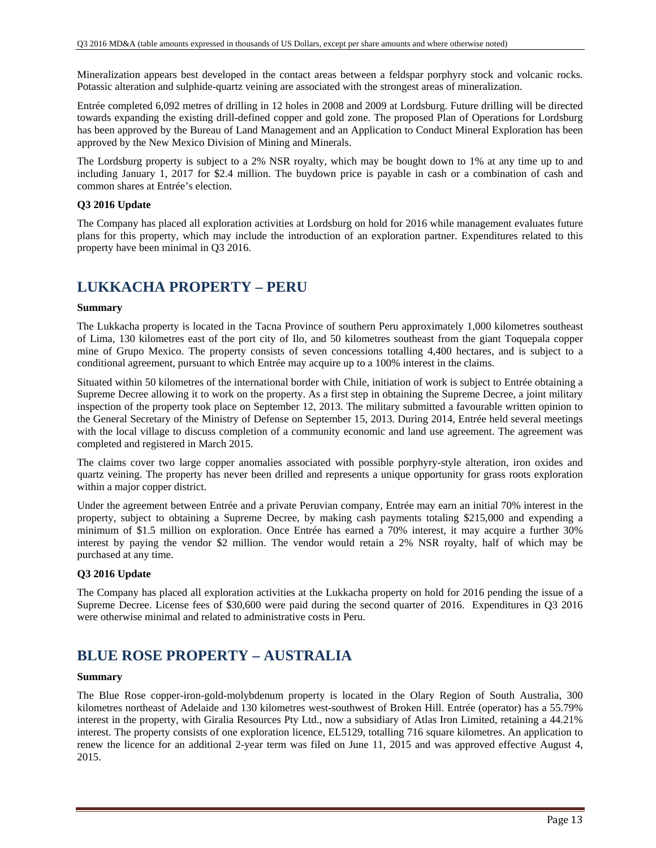Mineralization appears best developed in the contact areas between a feldspar porphyry stock and volcanic rocks. Potassic alteration and sulphide-quartz veining are associated with the strongest areas of mineralization.

Entrée completed 6,092 metres of drilling in 12 holes in 2008 and 2009 at Lordsburg. Future drilling will be directed towards expanding the existing drill-defined copper and gold zone. The proposed Plan of Operations for Lordsburg has been approved by the Bureau of Land Management and an Application to Conduct Mineral Exploration has been approved by the New Mexico Division of Mining and Minerals.

The Lordsburg property is subject to a 2% NSR royalty, which may be bought down to 1% at any time up to and including January 1, 2017 for \$2.4 million. The buydown price is payable in cash or a combination of cash and common shares at Entrée's election.

## **Q3 2016 Update**

The Company has placed all exploration activities at Lordsburg on hold for 2016 while management evaluates future plans for this property, which may include the introduction of an exploration partner. Expenditures related to this property have been minimal in Q3 2016.

# **LUKKACHA PROPERTY – PERU**

### **Summary**

The Lukkacha property is located in the Tacna Province of southern Peru approximately 1,000 kilometres southeast of Lima, 130 kilometres east of the port city of Ilo, and 50 kilometres southeast from the giant Toquepala copper mine of Grupo Mexico. The property consists of seven concessions totalling 4,400 hectares, and is subject to a conditional agreement, pursuant to which Entrée may acquire up to a 100% interest in the claims.

Situated within 50 kilometres of the international border with Chile, initiation of work is subject to Entrée obtaining a Supreme Decree allowing it to work on the property. As a first step in obtaining the Supreme Decree, a joint military inspection of the property took place on September 12, 2013. The military submitted a favourable written opinion to the General Secretary of the Ministry of Defense on September 15, 2013. During 2014, Entrée held several meetings with the local village to discuss completion of a community economic and land use agreement. The agreement was completed and registered in March 2015.

The claims cover two large copper anomalies associated with possible porphyry-style alteration, iron oxides and quartz veining. The property has never been drilled and represents a unique opportunity for grass roots exploration within a major copper district.

Under the agreement between Entrée and a private Peruvian company, Entrée may earn an initial 70% interest in the property, subject to obtaining a Supreme Decree, by making cash payments totaling \$215,000 and expending a minimum of \$1.5 million on exploration. Once Entrée has earned a 70% interest, it may acquire a further 30% interest by paying the vendor \$2 million. The vendor would retain a 2% NSR royalty, half of which may be purchased at any time.

## **Q3 2016 Update**

The Company has placed all exploration activities at the Lukkacha property on hold for 2016 pending the issue of a Supreme Decree. License fees of \$30,600 were paid during the second quarter of 2016. Expenditures in Q3 2016 were otherwise minimal and related to administrative costs in Peru.

# **BLUE ROSE PROPERTY – AUSTRALIA**

## **Summary**

The Blue Rose copper-iron-gold-molybdenum property is located in the Olary Region of South Australia, 300 kilometres northeast of Adelaide and 130 kilometres west-southwest of Broken Hill. Entrée (operator) has a 55.79% interest in the property, with Giralia Resources Pty Ltd., now a subsidiary of Atlas Iron Limited, retaining a 44.21% interest. The property consists of one exploration licence, EL5129, totalling 716 square kilometres. An application to renew the licence for an additional 2-year term was filed on June 11, 2015 and was approved effective August 4, 2015.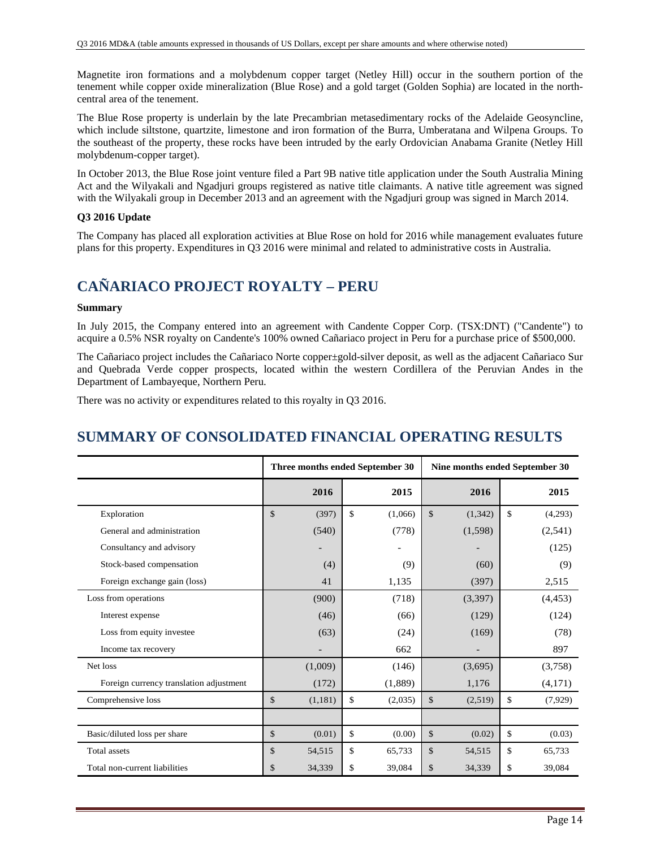Magnetite iron formations and a molybdenum copper target (Netley Hill) occur in the southern portion of the tenement while copper oxide mineralization (Blue Rose) and a gold target (Golden Sophia) are located in the northcentral area of the tenement.

The Blue Rose property is underlain by the late Precambrian metasedimentary rocks of the Adelaide Geosyncline, which include siltstone, quartzite, limestone and iron formation of the Burra, Umberatana and Wilpena Groups. To the southeast of the property, these rocks have been intruded by the early Ordovician Anabama Granite (Netley Hill molybdenum-copper target).

In October 2013, the Blue Rose joint venture filed a Part 9B native title application under the South Australia Mining Act and the Wilyakali and Ngadjuri groups registered as native title claimants. A native title agreement was signed with the Wilyakali group in December 2013 and an agreement with the Ngadjuri group was signed in March 2014.

## **Q3 2016 Update**

The Company has placed all exploration activities at Blue Rose on hold for 2016 while management evaluates future plans for this property. Expenditures in Q3 2016 were minimal and related to administrative costs in Australia.

# **CAÑARIACO PROJECT ROYALTY – PERU**

### **Summary**

In July 2015, the Company entered into an agreement with Candente Copper Corp. (TSX:DNT) ("Candente") to acquire a 0.5% NSR royalty on Candente's 100% owned Cañariaco project in Peru for a purchase price of \$500,000.

The Cañariaco project includes the Cañariaco Norte copper±gold-silver deposit, as well as the adjacent Cañariaco Sur and Quebrada Verde copper prospects, located within the western Cordillera of the Peruvian Andes in the Department of Lambayeque, Northern Peru.

There was no activity or expenditures related to this royalty in Q3 2016.

# **SUMMARY OF CONSOLIDATED FINANCIAL OPERATING RESULTS**

|                                         |                         | Three months ended September 30 | Nine months ended September 30 |               |  |  |
|-----------------------------------------|-------------------------|---------------------------------|--------------------------------|---------------|--|--|
|                                         | 2016                    | 2015                            | 2016                           | 2015          |  |  |
| Exploration                             | $\mathcal{S}$<br>(397)  | $\mathbb{S}$<br>(1,066)         | $\mathcal{S}$<br>(1, 342)      | \$<br>(4,293) |  |  |
| General and administration              | (540)                   | (778)                           | (1,598)                        | (2,541)       |  |  |
| Consultancy and advisory                |                         |                                 |                                | (125)         |  |  |
| Stock-based compensation                | (4)                     | (9)                             | (60)                           | (9)           |  |  |
| Foreign exchange gain (loss)            | 41                      | 1,135                           | (397)                          | 2,515         |  |  |
| Loss from operations                    | (900)                   | (718)                           | (3, 397)                       | (4, 453)      |  |  |
| Interest expense                        | (46)                    | (66)                            | (129)                          | (124)         |  |  |
| Loss from equity investee               | (63)                    | (24)                            | (169)                          | (78)          |  |  |
| Income tax recovery                     |                         | 662                             |                                | 897           |  |  |
| Net loss                                | (1,009)                 | (146)                           | (3,695)                        | (3,758)       |  |  |
| Foreign currency translation adjustment | (172)                   | (1,889)                         | 1,176                          | (4,171)       |  |  |
| Comprehensive loss                      | $\mathbb{S}$<br>(1,181) | $\mathbb{S}$<br>(2,035)         | $\mathcal{S}$<br>(2,519)       | \$<br>(7,929) |  |  |
|                                         |                         |                                 |                                |               |  |  |
| Basic/diluted loss per share            | $\mathbb{S}$<br>(0.01)  | \$<br>(0.00)                    | $\mathcal{S}$<br>(0.02)        | \$<br>(0.03)  |  |  |
| <b>Total</b> assets                     | \$<br>54,515            | $\mathbb{S}$<br>65,733          | $\mathcal{S}$<br>54,515        | \$<br>65,733  |  |  |
| Total non-current liabilities           | \$<br>34,339            | \$<br>39,084                    | \$<br>34,339                   | \$<br>39,084  |  |  |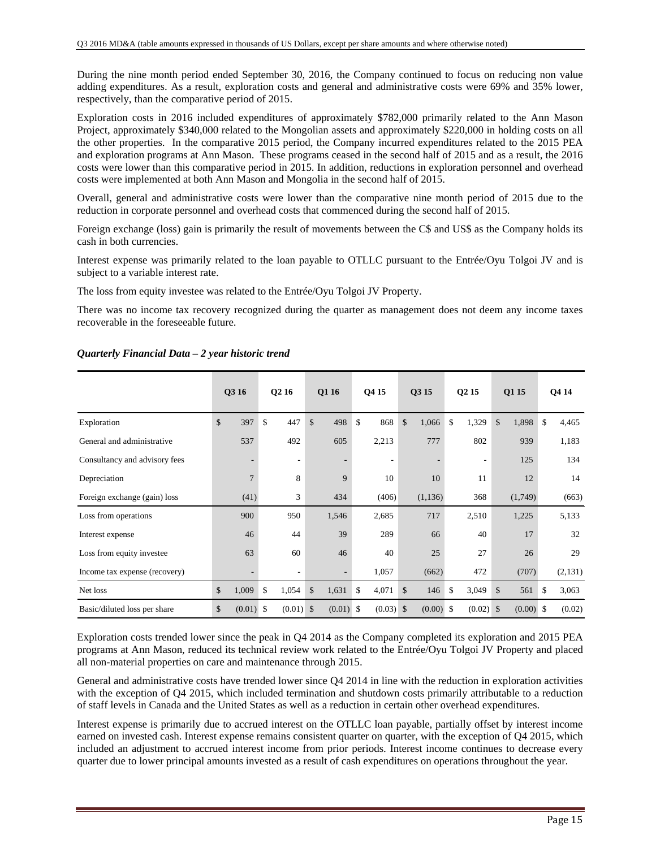During the nine month period ended September 30, 2016, the Company continued to focus on reducing non value adding expenditures. As a result, exploration costs and general and administrative costs were 69% and 35% lower, respectively, than the comparative period of 2015.

Exploration costs in 2016 included expenditures of approximately \$782,000 primarily related to the Ann Mason Project, approximately \$340,000 related to the Mongolian assets and approximately \$220,000 in holding costs on all the other properties. In the comparative 2015 period, the Company incurred expenditures related to the 2015 PEA and exploration programs at Ann Mason. These programs ceased in the second half of 2015 and as a result, the 2016 costs were lower than this comparative period in 2015. In addition, reductions in exploration personnel and overhead costs were implemented at both Ann Mason and Mongolia in the second half of 2015.

Overall, general and administrative costs were lower than the comparative nine month period of 2015 due to the reduction in corporate personnel and overhead costs that commenced during the second half of 2015.

Foreign exchange (loss) gain is primarily the result of movements between the C\$ and US\$ as the Company holds its cash in both currencies.

Interest expense was primarily related to the loan payable to OTLLC pursuant to the Entrée/Oyu Tolgoi JV and is subject to a variable interest rate.

The loss from equity investee was related to the Entrée/Oyu Tolgoi JV Property.

There was no income tax recovery recognized during the quarter as management does not deem any income taxes recoverable in the foreseeable future.

|                               | Q3 16                 | Q <sub>2</sub> 16        | Q1 16                  | Q4 15             | Q3 15       | Q <sub>2</sub> 15 | Q1 15                  | Q4 14       |
|-------------------------------|-----------------------|--------------------------|------------------------|-------------------|-------------|-------------------|------------------------|-------------|
| Exploration                   | $\mathcal{S}$<br>397  | $\mathbf{s}$<br>447      | \$<br>498              | 868<br>\$         | \$<br>1,066 | 1,329<br>\$       | $\mathcal{S}$<br>1,898 | \$<br>4,465 |
| General and administrative    | 537                   | 492                      | 605                    | 2,213             | 777         | 802               | 939                    | 1,183       |
| Consultancy and advisory fees |                       | ۰.                       |                        | ۰                 |             | ۰                 | 125                    | 134         |
| Depreciation                  | $\overline{7}$        | 8                        | 9                      | 10                | 10          | 11                | 12                     | 14          |
| Foreign exchange (gain) loss  | (41)                  | 3                        | 434                    | (406)             | (1, 136)    | 368               | (1,749)                | (663)       |
| Loss from operations          | 900                   | 950                      | 1,546                  | 2,685             | 717         | 2,510             | 1,225                  | 5,133       |
| Interest expense              | 46                    | 44                       | 39                     | 289               | 66          | 40                | 17                     | 32          |
| Loss from equity investee     | 63                    | 60                       | 46                     | 40                | 25          | 27                | 26                     | 29          |
| Income tax expense (recovery) |                       | $\overline{\phantom{a}}$ | $\overline{a}$         | 1,057             | (662)       | 472               | (707)                  | (2,131)     |
| Net loss                      | $\mathbb{S}$<br>1,009 | $\mathbf{s}$<br>1,054    | $\mathcal{S}$<br>1,631 | \$<br>4,071       | \$<br>146   | \$<br>3,049       | $\mathsf{\$}$<br>561   | \$<br>3,063 |
| Basic/diluted loss per share  | \$<br>$(0.01)$ \$     | $(0.01)$ \$              | (0.01)                 | $(0.03)$ \$<br>\$ | (0.00)      | $(0.02)$ \$<br>\$ | $(0.00)$ \$            | (0.02)      |

## *Quarterly Financial Data – 2 year historic trend*

Exploration costs trended lower since the peak in Q4 2014 as the Company completed its exploration and 2015 PEA programs at Ann Mason, reduced its technical review work related to the Entrée/Oyu Tolgoi JV Property and placed all non-material properties on care and maintenance through 2015.

General and administrative costs have trended lower since Q4 2014 in line with the reduction in exploration activities with the exception of Q4 2015, which included termination and shutdown costs primarily attributable to a reduction of staff levels in Canada and the United States as well as a reduction in certain other overhead expenditures.

Interest expense is primarily due to accrued interest on the OTLLC loan payable, partially offset by interest income earned on invested cash. Interest expense remains consistent quarter on quarter, with the exception of Q4 2015, which included an adjustment to accrued interest income from prior periods. Interest income continues to decrease every quarter due to lower principal amounts invested as a result of cash expenditures on operations throughout the year.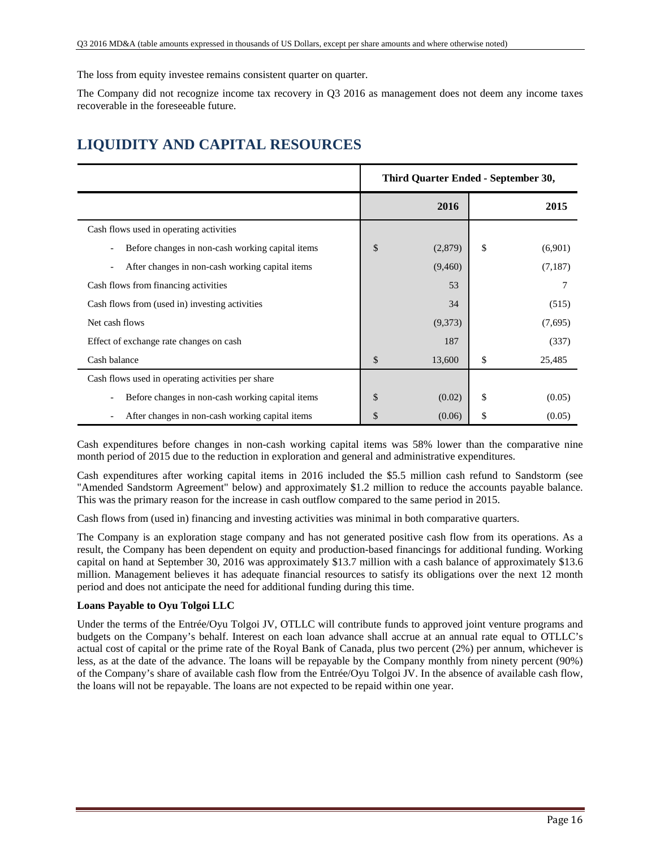The loss from equity investee remains consistent quarter on quarter.

The Company did not recognize income tax recovery in Q3 2016 as management does not deem any income taxes recoverable in the foreseeable future.

# **LIQUIDITY AND CAPITAL RESOURCES**

|                                                   | Third Quarter Ended - September 30, |         |    |         |  |
|---------------------------------------------------|-------------------------------------|---------|----|---------|--|
|                                                   |                                     | 2016    |    | 2015    |  |
| Cash flows used in operating activities           |                                     |         |    |         |  |
| Before changes in non-cash working capital items  | \$                                  | (2,879) | \$ | (6,901) |  |
| After changes in non-cash working capital items   |                                     | (9,460) |    | (7,187) |  |
| Cash flows from financing activities              |                                     | 53      |    | 7       |  |
| Cash flows from (used in) investing activities    |                                     | 34      |    | (515)   |  |
| Net cash flows                                    |                                     | (9,373) |    | (7,695) |  |
| Effect of exchange rate changes on cash           |                                     | 187     |    | (337)   |  |
| Cash balance                                      | \$                                  | 13,600  | \$ | 25,485  |  |
| Cash flows used in operating activities per share |                                     |         |    |         |  |
| Before changes in non-cash working capital items  | \$                                  | (0.02)  | \$ | (0.05)  |  |
| After changes in non-cash working capital items   | \$                                  | (0.06)  | \$ | (0.05)  |  |

Cash expenditures before changes in non-cash working capital items was 58% lower than the comparative nine month period of 2015 due to the reduction in exploration and general and administrative expenditures.

Cash expenditures after working capital items in 2016 included the \$5.5 million cash refund to Sandstorm (see "Amended Sandstorm Agreement" below) and approximately \$1.2 million to reduce the accounts payable balance. This was the primary reason for the increase in cash outflow compared to the same period in 2015.

Cash flows from (used in) financing and investing activities was minimal in both comparative quarters.

The Company is an exploration stage company and has not generated positive cash flow from its operations. As a result, the Company has been dependent on equity and production-based financings for additional funding. Working capital on hand at September 30, 2016 was approximately \$13.7 million with a cash balance of approximately \$13.6 million. Management believes it has adequate financial resources to satisfy its obligations over the next 12 month period and does not anticipate the need for additional funding during this time.

## **Loans Payable to Oyu Tolgoi LLC**

Under the terms of the Entrée/Oyu Tolgoi JV, OTLLC will contribute funds to approved joint venture programs and budgets on the Company's behalf. Interest on each loan advance shall accrue at an annual rate equal to OTLLC's actual cost of capital or the prime rate of the Royal Bank of Canada, plus two percent (2%) per annum, whichever is less, as at the date of the advance. The loans will be repayable by the Company monthly from ninety percent (90%) of the Company's share of available cash flow from the Entrée/Oyu Tolgoi JV. In the absence of available cash flow, the loans will not be repayable. The loans are not expected to be repaid within one year.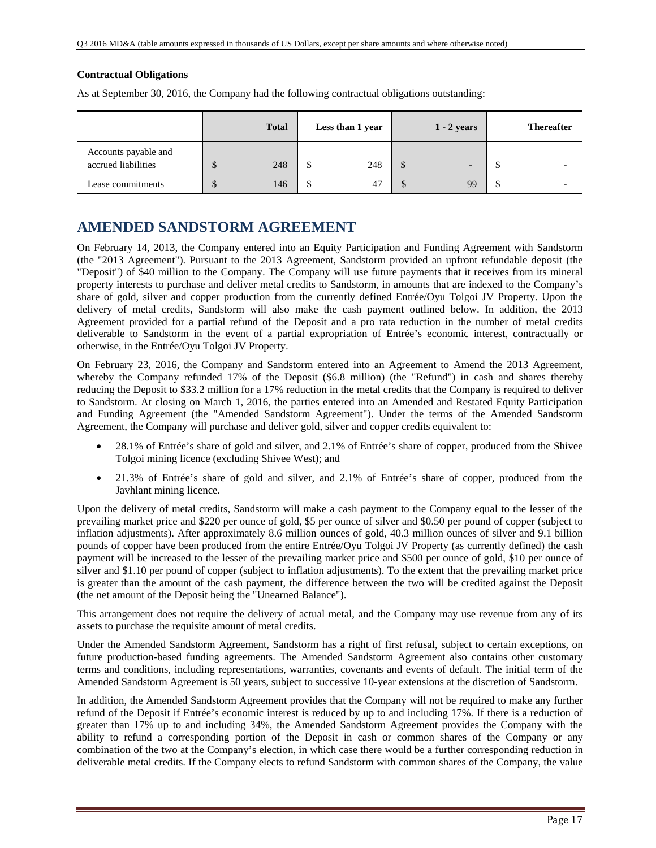## **Contractual Obligations**

As at September 30, 2016, the Company had the following contractual obligations outstanding:

|                                             |        | <b>Total</b> |   | Less than 1 year | $1 - 2$ years | <b>Thereafter</b> |
|---------------------------------------------|--------|--------------|---|------------------|---------------|-------------------|
| Accounts payable and<br>accrued liabilities | Φ<br>Φ | 248          | D | 248              | \$            |                   |
| Lease commitments                           | Φ      | 146          | Ф | 47               | 99            |                   |

# **AMENDED SANDSTORM AGREEMENT**

On February 14, 2013, the Company entered into an Equity Participation and Funding Agreement with Sandstorm (the "2013 Agreement"). Pursuant to the 2013 Agreement, Sandstorm provided an upfront refundable deposit (the "Deposit") of \$40 million to the Company. The Company will use future payments that it receives from its mineral property interests to purchase and deliver metal credits to Sandstorm, in amounts that are indexed to the Company's share of gold, silver and copper production from the currently defined Entrée/Oyu Tolgoi JV Property. Upon the delivery of metal credits, Sandstorm will also make the cash payment outlined below. In addition, the 2013 Agreement provided for a partial refund of the Deposit and a pro rata reduction in the number of metal credits deliverable to Sandstorm in the event of a partial expropriation of Entrée's economic interest, contractually or otherwise, in the Entrée/Oyu Tolgoi JV Property.

On February 23, 2016, the Company and Sandstorm entered into an Agreement to Amend the 2013 Agreement, whereby the Company refunded 17% of the Deposit (\$6.8 million) (the "Refund") in cash and shares thereby reducing the Deposit to \$33.2 million for a 17% reduction in the metal credits that the Company is required to deliver to Sandstorm. At closing on March 1, 2016, the parties entered into an Amended and Restated Equity Participation and Funding Agreement (the "Amended Sandstorm Agreement"). Under the terms of the Amended Sandstorm Agreement, the Company will purchase and deliver gold, silver and copper credits equivalent to:

- 28.1% of Entrée's share of gold and silver, and 2.1% of Entrée's share of copper, produced from the Shivee Tolgoi mining licence (excluding Shivee West); and
- 21.3% of Entrée's share of gold and silver, and 2.1% of Entrée's share of copper, produced from the Javhlant mining licence.

Upon the delivery of metal credits, Sandstorm will make a cash payment to the Company equal to the lesser of the prevailing market price and \$220 per ounce of gold, \$5 per ounce of silver and \$0.50 per pound of copper (subject to inflation adjustments). After approximately 8.6 million ounces of gold, 40.3 million ounces of silver and 9.1 billion pounds of copper have been produced from the entire Entrée/Oyu Tolgoi JV Property (as currently defined) the cash payment will be increased to the lesser of the prevailing market price and \$500 per ounce of gold, \$10 per ounce of silver and \$1.10 per pound of copper (subject to inflation adjustments). To the extent that the prevailing market price is greater than the amount of the cash payment, the difference between the two will be credited against the Deposit (the net amount of the Deposit being the "Unearned Balance").

This arrangement does not require the delivery of actual metal, and the Company may use revenue from any of its assets to purchase the requisite amount of metal credits.

Under the Amended Sandstorm Agreement, Sandstorm has a right of first refusal, subject to certain exceptions, on future production-based funding agreements. The Amended Sandstorm Agreement also contains other customary terms and conditions, including representations, warranties, covenants and events of default. The initial term of the Amended Sandstorm Agreement is 50 years, subject to successive 10-year extensions at the discretion of Sandstorm.

In addition, the Amended Sandstorm Agreement provides that the Company will not be required to make any further refund of the Deposit if Entrée's economic interest is reduced by up to and including 17%. If there is a reduction of greater than 17% up to and including 34%, the Amended Sandstorm Agreement provides the Company with the ability to refund a corresponding portion of the Deposit in cash or common shares of the Company or any combination of the two at the Company's election, in which case there would be a further corresponding reduction in deliverable metal credits. If the Company elects to refund Sandstorm with common shares of the Company, the value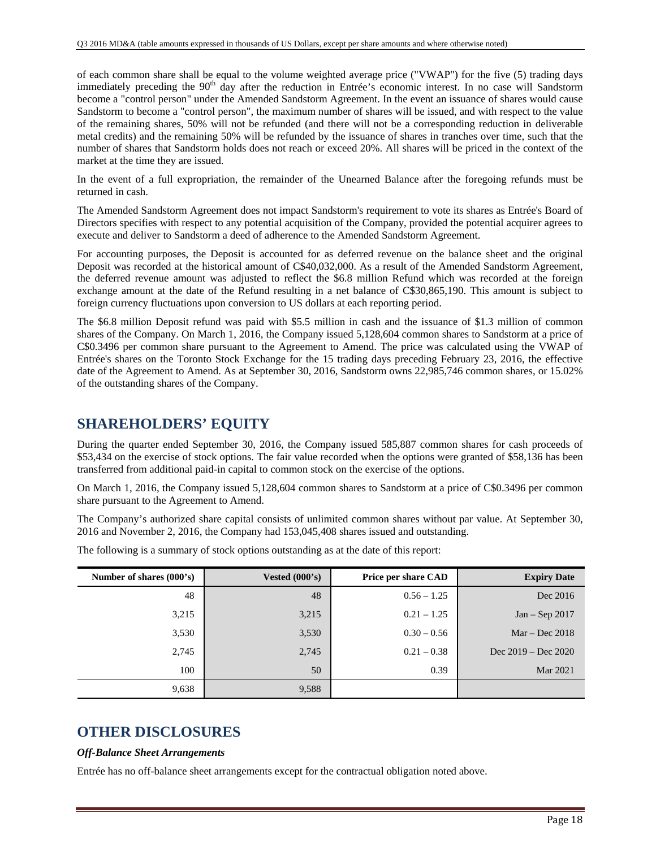of each common share shall be equal to the volume weighted average price ("VWAP") for the five (5) trading days immediately preceding the 90<sup>th</sup> day after the reduction in Entrée's economic interest. In no case will Sandstorm become a "control person" under the Amended Sandstorm Agreement. In the event an issuance of shares would cause Sandstorm to become a "control person", the maximum number of shares will be issued, and with respect to the value of the remaining shares, 50% will not be refunded (and there will not be a corresponding reduction in deliverable metal credits) and the remaining 50% will be refunded by the issuance of shares in tranches over time, such that the number of shares that Sandstorm holds does not reach or exceed 20%. All shares will be priced in the context of the market at the time they are issued.

In the event of a full expropriation, the remainder of the Unearned Balance after the foregoing refunds must be returned in cash.

The Amended Sandstorm Agreement does not impact Sandstorm's requirement to vote its shares as Entrée's Board of Directors specifies with respect to any potential acquisition of the Company, provided the potential acquirer agrees to execute and deliver to Sandstorm a deed of adherence to the Amended Sandstorm Agreement.

For accounting purposes, the Deposit is accounted for as deferred revenue on the balance sheet and the original Deposit was recorded at the historical amount of C\$40,032,000. As a result of the Amended Sandstorm Agreement, the deferred revenue amount was adjusted to reflect the \$6.8 million Refund which was recorded at the foreign exchange amount at the date of the Refund resulting in a net balance of C\$30,865,190. This amount is subject to foreign currency fluctuations upon conversion to US dollars at each reporting period.

The \$6.8 million Deposit refund was paid with \$5.5 million in cash and the issuance of \$1.3 million of common shares of the Company. On March 1, 2016, the Company issued 5,128,604 common shares to Sandstorm at a price of C\$0.3496 per common share pursuant to the Agreement to Amend. The price was calculated using the VWAP of Entrée's shares on the Toronto Stock Exchange for the 15 trading days preceding February 23, 2016, the effective date of the Agreement to Amend. As at September 30, 2016, Sandstorm owns 22,985,746 common shares, or 15.02% of the outstanding shares of the Company.

# **SHAREHOLDERS' EQUITY**

During the quarter ended September 30, 2016, the Company issued 585,887 common shares for cash proceeds of \$53,434 on the exercise of stock options. The fair value recorded when the options were granted of \$58,136 has been transferred from additional paid-in capital to common stock on the exercise of the options.

On March 1, 2016, the Company issued 5,128,604 common shares to Sandstorm at a price of C\$0.3496 per common share pursuant to the Agreement to Amend.

The Company's authorized share capital consists of unlimited common shares without par value. At September 30, 2016 and November 2, 2016, the Company had 153,045,408 shares issued and outstanding.

| Number of shares (000's) | Vested $(000's)$ | Price per share CAD | <b>Expiry Date</b>    |
|--------------------------|------------------|---------------------|-----------------------|
| 48                       | 48               | $0.56 - 1.25$       | Dec 2016              |
| 3,215                    | 3,215            | $0.21 - 1.25$       | $Jan - Sep$ 2017      |
| 3,530                    | 3,530            | $0.30 - 0.56$       | $Mar - Dec 2018$      |
| 2,745                    | 2,745            | $0.21 - 0.38$       | Dec $2019 - Dec 2020$ |
| 100                      | 50               | 0.39                | Mar 2021              |
| 9,638                    | 9,588            |                     |                       |

The following is a summary of stock options outstanding as at the date of this report:

# **OTHER DISCLOSURES**

## *Off-Balance Sheet Arrangements*

Entrée has no off-balance sheet arrangements except for the contractual obligation noted above.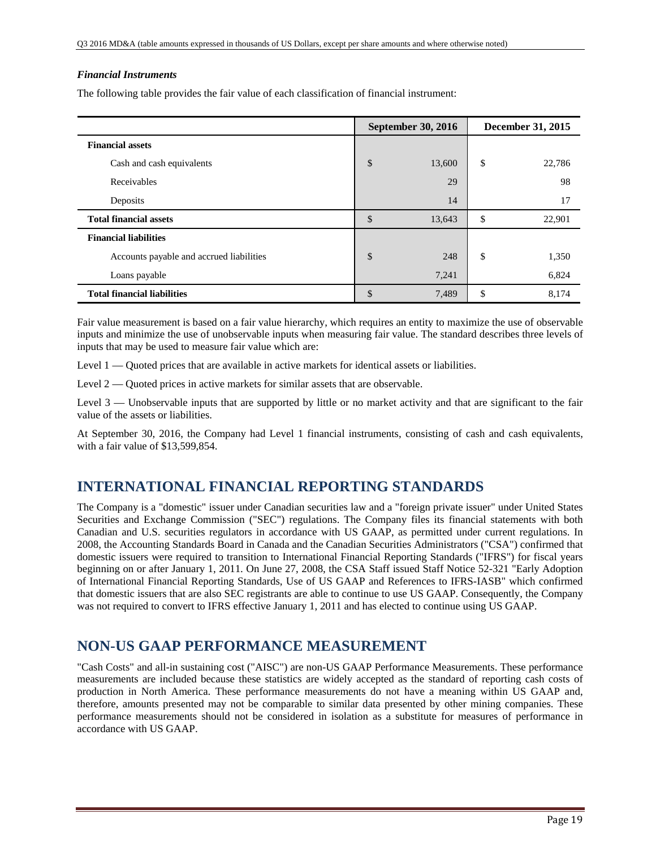## *Financial Instruments*

The following table provides the fair value of each classification of financial instrument:

|                                          | <b>September 30, 2016</b> |        | December 31, 2015 |        |
|------------------------------------------|---------------------------|--------|-------------------|--------|
| <b>Financial assets</b>                  |                           |        |                   |        |
| Cash and cash equivalents                | \$                        | 13,600 | \$                | 22,786 |
| Receivables                              |                           | 29     |                   | 98     |
| Deposits                                 |                           | 14     |                   | 17     |
| <b>Total financial assets</b>            | \$                        | 13,643 | \$                | 22,901 |
| <b>Financial liabilities</b>             |                           |        |                   |        |
| Accounts payable and accrued liabilities | \$                        | 248    | \$                | 1,350  |
| Loans payable                            |                           | 7,241  |                   | 6,824  |
| <b>Total financial liabilities</b>       | \$                        | 7,489  | \$                | 8,174  |

Fair value measurement is based on a fair value hierarchy, which requires an entity to maximize the use of observable inputs and minimize the use of unobservable inputs when measuring fair value. The standard describes three levels of inputs that may be used to measure fair value which are:

Level 1 — Quoted prices that are available in active markets for identical assets or liabilities.

Level 2 — Quoted prices in active markets for similar assets that are observable.

Level 3 — Unobservable inputs that are supported by little or no market activity and that are significant to the fair value of the assets or liabilities.

At September 30, 2016, the Company had Level 1 financial instruments, consisting of cash and cash equivalents, with a fair value of \$13,599,854.

# **INTERNATIONAL FINANCIAL REPORTING STANDARDS**

The Company is a "domestic" issuer under Canadian securities law and a "foreign private issuer" under United States Securities and Exchange Commission ("SEC") regulations. The Company files its financial statements with both Canadian and U.S. securities regulators in accordance with US GAAP, as permitted under current regulations. In 2008, the Accounting Standards Board in Canada and the Canadian Securities Administrators ("CSA") confirmed that domestic issuers were required to transition to International Financial Reporting Standards ("IFRS") for fiscal years beginning on or after January 1, 2011. On June 27, 2008, the CSA Staff issued Staff Notice 52-321 "Early Adoption of International Financial Reporting Standards, Use of US GAAP and References to IFRS-IASB" which confirmed that domestic issuers that are also SEC registrants are able to continue to use US GAAP. Consequently, the Company was not required to convert to IFRS effective January 1, 2011 and has elected to continue using US GAAP.

# **NON-US GAAP PERFORMANCE MEASUREMENT**

"Cash Costs" and all-in sustaining cost ("AISC") are non-US GAAP Performance Measurements. These performance measurements are included because these statistics are widely accepted as the standard of reporting cash costs of production in North America. These performance measurements do not have a meaning within US GAAP and, therefore, amounts presented may not be comparable to similar data presented by other mining companies. These performance measurements should not be considered in isolation as a substitute for measures of performance in accordance with US GAAP.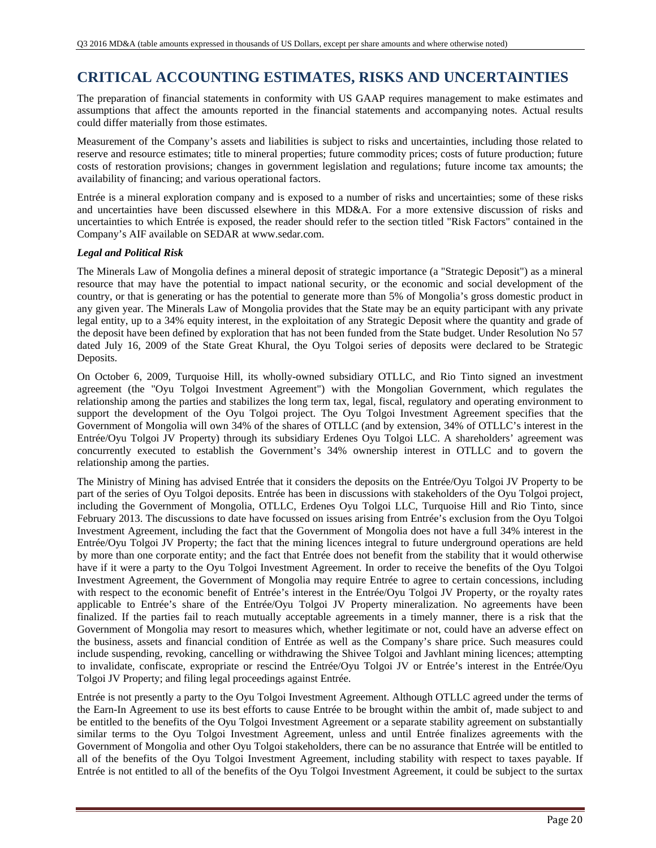# **CRITICAL ACCOUNTING ESTIMATES, RISKS AND UNCERTAINTIES**

The preparation of financial statements in conformity with US GAAP requires management to make estimates and assumptions that affect the amounts reported in the financial statements and accompanying notes. Actual results could differ materially from those estimates.

Measurement of the Company's assets and liabilities is subject to risks and uncertainties, including those related to reserve and resource estimates; title to mineral properties; future commodity prices; costs of future production; future costs of restoration provisions; changes in government legislation and regulations; future income tax amounts; the availability of financing; and various operational factors.

Entrée is a mineral exploration company and is exposed to a number of risks and uncertainties; some of these risks and uncertainties have been discussed elsewhere in this MD&A. For a more extensive discussion of risks and uncertainties to which Entrée is exposed, the reader should refer to the section titled "Risk Factors" contained in the Company's AIF available on SEDAR at www.sedar.com.

## *Legal and Political Risk*

The Minerals Law of Mongolia defines a mineral deposit of strategic importance (a "Strategic Deposit") as a mineral resource that may have the potential to impact national security, or the economic and social development of the country, or that is generating or has the potential to generate more than 5% of Mongolia's gross domestic product in any given year. The Minerals Law of Mongolia provides that the State may be an equity participant with any private legal entity, up to a 34% equity interest, in the exploitation of any Strategic Deposit where the quantity and grade of the deposit have been defined by exploration that has not been funded from the State budget. Under Resolution No 57 dated July 16, 2009 of the State Great Khural, the Oyu Tolgoi series of deposits were declared to be Strategic Deposits.

On October 6, 2009, Turquoise Hill, its wholly-owned subsidiary OTLLC, and Rio Tinto signed an investment agreement (the "Oyu Tolgoi Investment Agreement") with the Mongolian Government, which regulates the relationship among the parties and stabilizes the long term tax, legal, fiscal, regulatory and operating environment to support the development of the Oyu Tolgoi project. The Oyu Tolgoi Investment Agreement specifies that the Government of Mongolia will own 34% of the shares of OTLLC (and by extension, 34% of OTLLC's interest in the Entrée/Oyu Tolgoi JV Property) through its subsidiary Erdenes Oyu Tolgoi LLC. A shareholders' agreement was concurrently executed to establish the Government's 34% ownership interest in OTLLC and to govern the relationship among the parties.

The Ministry of Mining has advised Entrée that it considers the deposits on the Entrée/Oyu Tolgoi JV Property to be part of the series of Oyu Tolgoi deposits. Entrée has been in discussions with stakeholders of the Oyu Tolgoi project, including the Government of Mongolia, OTLLC, Erdenes Oyu Tolgoi LLC, Turquoise Hill and Rio Tinto, since February 2013. The discussions to date have focussed on issues arising from Entrée's exclusion from the Oyu Tolgoi Investment Agreement, including the fact that the Government of Mongolia does not have a full 34% interest in the Entrée/Oyu Tolgoi JV Property; the fact that the mining licences integral to future underground operations are held by more than one corporate entity; and the fact that Entrée does not benefit from the stability that it would otherwise have if it were a party to the Oyu Tolgoi Investment Agreement. In order to receive the benefits of the Oyu Tolgoi Investment Agreement, the Government of Mongolia may require Entrée to agree to certain concessions, including with respect to the economic benefit of Entrée's interest in the Entrée/Oyu Tolgoi JV Property, or the royalty rates applicable to Entrée's share of the Entrée/Oyu Tolgoi JV Property mineralization. No agreements have been finalized. If the parties fail to reach mutually acceptable agreements in a timely manner, there is a risk that the Government of Mongolia may resort to measures which, whether legitimate or not, could have an adverse effect on the business, assets and financial condition of Entrée as well as the Company's share price. Such measures could include suspending, revoking, cancelling or withdrawing the Shivee Tolgoi and Javhlant mining licences; attempting to invalidate, confiscate, expropriate or rescind the Entrée/Oyu Tolgoi JV or Entrée's interest in the Entrée/Oyu Tolgoi JV Property; and filing legal proceedings against Entrée.

Entrée is not presently a party to the Oyu Tolgoi Investment Agreement. Although OTLLC agreed under the terms of the Earn-In Agreement to use its best efforts to cause Entrée to be brought within the ambit of, made subject to and be entitled to the benefits of the Oyu Tolgoi Investment Agreement or a separate stability agreement on substantially similar terms to the Oyu Tolgoi Investment Agreement, unless and until Entrée finalizes agreements with the Government of Mongolia and other Oyu Tolgoi stakeholders, there can be no assurance that Entrée will be entitled to all of the benefits of the Oyu Tolgoi Investment Agreement, including stability with respect to taxes payable. If Entrée is not entitled to all of the benefits of the Oyu Tolgoi Investment Agreement, it could be subject to the surtax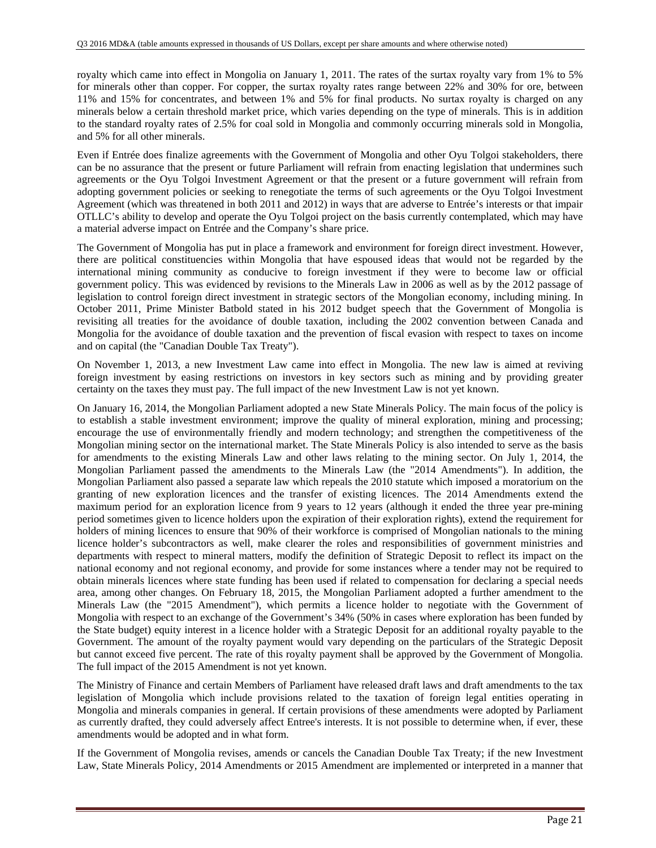royalty which came into effect in Mongolia on January 1, 2011. The rates of the surtax royalty vary from 1% to 5% for minerals other than copper. For copper, the surtax royalty rates range between 22% and 30% for ore, between 11% and 15% for concentrates, and between 1% and 5% for final products. No surtax royalty is charged on any minerals below a certain threshold market price, which varies depending on the type of minerals. This is in addition to the standard royalty rates of 2.5% for coal sold in Mongolia and commonly occurring minerals sold in Mongolia, and 5% for all other minerals.

Even if Entrée does finalize agreements with the Government of Mongolia and other Oyu Tolgoi stakeholders, there can be no assurance that the present or future Parliament will refrain from enacting legislation that undermines such agreements or the Oyu Tolgoi Investment Agreement or that the present or a future government will refrain from adopting government policies or seeking to renegotiate the terms of such agreements or the Oyu Tolgoi Investment Agreement (which was threatened in both 2011 and 2012) in ways that are adverse to Entrée's interests or that impair OTLLC's ability to develop and operate the Oyu Tolgoi project on the basis currently contemplated, which may have a material adverse impact on Entrée and the Company's share price.

The Government of Mongolia has put in place a framework and environment for foreign direct investment. However, there are political constituencies within Mongolia that have espoused ideas that would not be regarded by the international mining community as conducive to foreign investment if they were to become law or official government policy. This was evidenced by revisions to the Minerals Law in 2006 as well as by the 2012 passage of legislation to control foreign direct investment in strategic sectors of the Mongolian economy, including mining. In October 2011, Prime Minister Batbold stated in his 2012 budget speech that the Government of Mongolia is revisiting all treaties for the avoidance of double taxation, including the 2002 convention between Canada and Mongolia for the avoidance of double taxation and the prevention of fiscal evasion with respect to taxes on income and on capital (the "Canadian Double Tax Treaty").

On November 1, 2013, a new Investment Law came into effect in Mongolia. The new law is aimed at reviving foreign investment by easing restrictions on investors in key sectors such as mining and by providing greater certainty on the taxes they must pay. The full impact of the new Investment Law is not yet known.

On January 16, 2014, the Mongolian Parliament adopted a new State Minerals Policy. The main focus of the policy is to establish a stable investment environment; improve the quality of mineral exploration, mining and processing; encourage the use of environmentally friendly and modern technology; and strengthen the competitiveness of the Mongolian mining sector on the international market. The State Minerals Policy is also intended to serve as the basis for amendments to the existing Minerals Law and other laws relating to the mining sector. On July 1, 2014, the Mongolian Parliament passed the amendments to the Minerals Law (the "2014 Amendments"). In addition, the Mongolian Parliament also passed a separate law which repeals the 2010 statute which imposed a moratorium on the granting of new exploration licences and the transfer of existing licences. The 2014 Amendments extend the maximum period for an exploration licence from 9 years to 12 years (although it ended the three year pre-mining period sometimes given to licence holders upon the expiration of their exploration rights), extend the requirement for holders of mining licences to ensure that 90% of their workforce is comprised of Mongolian nationals to the mining licence holder's subcontractors as well, make clearer the roles and responsibilities of government ministries and departments with respect to mineral matters, modify the definition of Strategic Deposit to reflect its impact on the national economy and not regional economy, and provide for some instances where a tender may not be required to obtain minerals licences where state funding has been used if related to compensation for declaring a special needs area, among other changes. On February 18, 2015, the Mongolian Parliament adopted a further amendment to the Minerals Law (the "2015 Amendment"), which permits a licence holder to negotiate with the Government of Mongolia with respect to an exchange of the Government's 34% (50% in cases where exploration has been funded by the State budget) equity interest in a licence holder with a Strategic Deposit for an additional royalty payable to the Government. The amount of the royalty payment would vary depending on the particulars of the Strategic Deposit but cannot exceed five percent. The rate of this royalty payment shall be approved by the Government of Mongolia. The full impact of the 2015 Amendment is not yet known.

The Ministry of Finance and certain Members of Parliament have released draft laws and draft amendments to the tax legislation of Mongolia which include provisions related to the taxation of foreign legal entities operating in Mongolia and minerals companies in general. If certain provisions of these amendments were adopted by Parliament as currently drafted, they could adversely affect Entree's interests. It is not possible to determine when, if ever, these amendments would be adopted and in what form.

If the Government of Mongolia revises, amends or cancels the Canadian Double Tax Treaty; if the new Investment Law, State Minerals Policy, 2014 Amendments or 2015 Amendment are implemented or interpreted in a manner that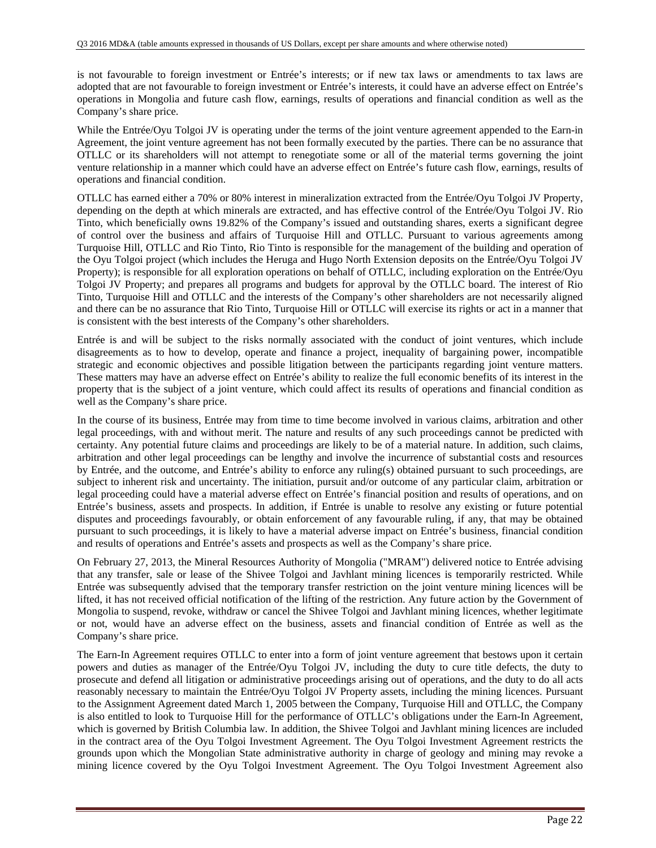is not favourable to foreign investment or Entrée's interests; or if new tax laws or amendments to tax laws are adopted that are not favourable to foreign investment or Entrée's interests, it could have an adverse effect on Entrée's operations in Mongolia and future cash flow, earnings, results of operations and financial condition as well as the Company's share price.

While the Entrée/Oyu Tolgoi JV is operating under the terms of the joint venture agreement appended to the Earn-in Agreement, the joint venture agreement has not been formally executed by the parties. There can be no assurance that OTLLC or its shareholders will not attempt to renegotiate some or all of the material terms governing the joint venture relationship in a manner which could have an adverse effect on Entrée's future cash flow, earnings, results of operations and financial condition.

OTLLC has earned either a 70% or 80% interest in mineralization extracted from the Entrée/Oyu Tolgoi JV Property, depending on the depth at which minerals are extracted, and has effective control of the Entrée/Oyu Tolgoi JV. Rio Tinto, which beneficially owns 19.82% of the Company's issued and outstanding shares, exerts a significant degree of control over the business and affairs of Turquoise Hill and OTLLC. Pursuant to various agreements among Turquoise Hill, OTLLC and Rio Tinto, Rio Tinto is responsible for the management of the building and operation of the Oyu Tolgoi project (which includes the Heruga and Hugo North Extension deposits on the Entrée/Oyu Tolgoi JV Property); is responsible for all exploration operations on behalf of OTLLC, including exploration on the Entrée/Oyu Tolgoi JV Property; and prepares all programs and budgets for approval by the OTLLC board. The interest of Rio Tinto, Turquoise Hill and OTLLC and the interests of the Company's other shareholders are not necessarily aligned and there can be no assurance that Rio Tinto, Turquoise Hill or OTLLC will exercise its rights or act in a manner that is consistent with the best interests of the Company's other shareholders.

Entrée is and will be subject to the risks normally associated with the conduct of joint ventures, which include disagreements as to how to develop, operate and finance a project, inequality of bargaining power, incompatible strategic and economic objectives and possible litigation between the participants regarding joint venture matters. These matters may have an adverse effect on Entrée's ability to realize the full economic benefits of its interest in the property that is the subject of a joint venture, which could affect its results of operations and financial condition as well as the Company's share price.

In the course of its business, Entrée may from time to time become involved in various claims, arbitration and other legal proceedings, with and without merit. The nature and results of any such proceedings cannot be predicted with certainty. Any potential future claims and proceedings are likely to be of a material nature. In addition, such claims, arbitration and other legal proceedings can be lengthy and involve the incurrence of substantial costs and resources by Entrée, and the outcome, and Entrée's ability to enforce any ruling(s) obtained pursuant to such proceedings, are subject to inherent risk and uncertainty. The initiation, pursuit and/or outcome of any particular claim, arbitration or legal proceeding could have a material adverse effect on Entrée's financial position and results of operations, and on Entrée's business, assets and prospects. In addition, if Entrée is unable to resolve any existing or future potential disputes and proceedings favourably, or obtain enforcement of any favourable ruling, if any, that may be obtained pursuant to such proceedings, it is likely to have a material adverse impact on Entrée's business, financial condition and results of operations and Entrée's assets and prospects as well as the Company's share price.

On February 27, 2013, the Mineral Resources Authority of Mongolia ("MRAM") delivered notice to Entrée advising that any transfer, sale or lease of the Shivee Tolgoi and Javhlant mining licences is temporarily restricted. While Entrée was subsequently advised that the temporary transfer restriction on the joint venture mining licences will be lifted, it has not received official notification of the lifting of the restriction. Any future action by the Government of Mongolia to suspend, revoke, withdraw or cancel the Shivee Tolgoi and Javhlant mining licences, whether legitimate or not, would have an adverse effect on the business, assets and financial condition of Entrée as well as the Company's share price.

The Earn-In Agreement requires OTLLC to enter into a form of joint venture agreement that bestows upon it certain powers and duties as manager of the Entrée/Oyu Tolgoi JV, including the duty to cure title defects, the duty to prosecute and defend all litigation or administrative proceedings arising out of operations, and the duty to do all acts reasonably necessary to maintain the Entrée/Oyu Tolgoi JV Property assets, including the mining licences. Pursuant to the Assignment Agreement dated March 1, 2005 between the Company, Turquoise Hill and OTLLC, the Company is also entitled to look to Turquoise Hill for the performance of OTLLC's obligations under the Earn-In Agreement, which is governed by British Columbia law. In addition, the Shivee Tolgoi and Javhlant mining licences are included in the contract area of the Oyu Tolgoi Investment Agreement. The Oyu Tolgoi Investment Agreement restricts the grounds upon which the Mongolian State administrative authority in charge of geology and mining may revoke a mining licence covered by the Oyu Tolgoi Investment Agreement. The Oyu Tolgoi Investment Agreement also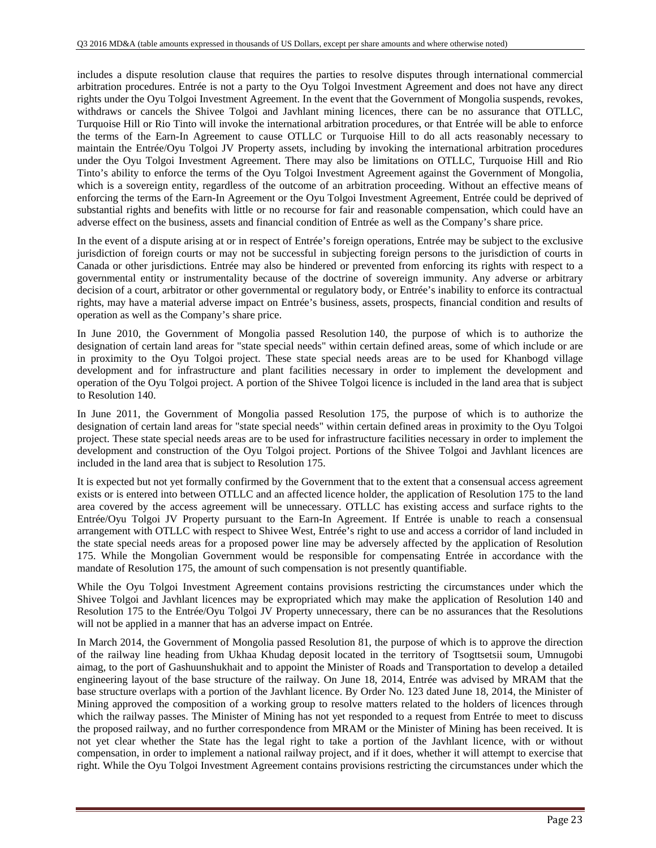includes a dispute resolution clause that requires the parties to resolve disputes through international commercial arbitration procedures. Entrée is not a party to the Oyu Tolgoi Investment Agreement and does not have any direct rights under the Oyu Tolgoi Investment Agreement. In the event that the Government of Mongolia suspends, revokes, withdraws or cancels the Shivee Tolgoi and Javhlant mining licences, there can be no assurance that OTLLC, Turquoise Hill or Rio Tinto will invoke the international arbitration procedures, or that Entrée will be able to enforce the terms of the Earn-In Agreement to cause OTLLC or Turquoise Hill to do all acts reasonably necessary to maintain the Entrée/Oyu Tolgoi JV Property assets, including by invoking the international arbitration procedures under the Oyu Tolgoi Investment Agreement. There may also be limitations on OTLLC, Turquoise Hill and Rio Tinto's ability to enforce the terms of the Oyu Tolgoi Investment Agreement against the Government of Mongolia, which is a sovereign entity, regardless of the outcome of an arbitration proceeding. Without an effective means of enforcing the terms of the Earn-In Agreement or the Oyu Tolgoi Investment Agreement, Entrée could be deprived of substantial rights and benefits with little or no recourse for fair and reasonable compensation, which could have an adverse effect on the business, assets and financial condition of Entrée as well as the Company's share price.

In the event of a dispute arising at or in respect of Entrée's foreign operations, Entrée may be subject to the exclusive jurisdiction of foreign courts or may not be successful in subjecting foreign persons to the jurisdiction of courts in Canada or other jurisdictions. Entrée may also be hindered or prevented from enforcing its rights with respect to a governmental entity or instrumentality because of the doctrine of sovereign immunity. Any adverse or arbitrary decision of a court, arbitrator or other governmental or regulatory body, or Entrée's inability to enforce its contractual rights, may have a material adverse impact on Entrée's business, assets, prospects, financial condition and results of operation as well as the Company's share price.

In June 2010, the Government of Mongolia passed Resolution 140, the purpose of which is to authorize the designation of certain land areas for "state special needs" within certain defined areas, some of which include or are in proximity to the Oyu Tolgoi project. These state special needs areas are to be used for Khanbogd village development and for infrastructure and plant facilities necessary in order to implement the development and operation of the Oyu Tolgoi project. A portion of the Shivee Tolgoi licence is included in the land area that is subject to Resolution 140.

In June 2011, the Government of Mongolia passed Resolution 175, the purpose of which is to authorize the designation of certain land areas for "state special needs" within certain defined areas in proximity to the Oyu Tolgoi project. These state special needs areas are to be used for infrastructure facilities necessary in order to implement the development and construction of the Oyu Tolgoi project. Portions of the Shivee Tolgoi and Javhlant licences are included in the land area that is subject to Resolution 175.

It is expected but not yet formally confirmed by the Government that to the extent that a consensual access agreement exists or is entered into between OTLLC and an affected licence holder, the application of Resolution 175 to the land area covered by the access agreement will be unnecessary. OTLLC has existing access and surface rights to the Entrée/Oyu Tolgoi JV Property pursuant to the Earn-In Agreement. If Entrée is unable to reach a consensual arrangement with OTLLC with respect to Shivee West, Entrée's right to use and access a corridor of land included in the state special needs areas for a proposed power line may be adversely affected by the application of Resolution 175. While the Mongolian Government would be responsible for compensating Entrée in accordance with the mandate of Resolution 175, the amount of such compensation is not presently quantifiable.

While the Oyu Tolgoi Investment Agreement contains provisions restricting the circumstances under which the Shivee Tolgoi and Javhlant licences may be expropriated which may make the application of Resolution 140 and Resolution 175 to the Entrée/Oyu Tolgoi JV Property unnecessary, there can be no assurances that the Resolutions will not be applied in a manner that has an adverse impact on Entrée.

In March 2014, the Government of Mongolia passed Resolution 81, the purpose of which is to approve the direction of the railway line heading from Ukhaa Khudag deposit located in the territory of Tsogttsetsii soum, Umnugobi aimag, to the port of Gashuunshukhait and to appoint the Minister of Roads and Transportation to develop a detailed engineering layout of the base structure of the railway. On June 18, 2014, Entrée was advised by MRAM that the base structure overlaps with a portion of the Javhlant licence. By Order No. 123 dated June 18, 2014, the Minister of Mining approved the composition of a working group to resolve matters related to the holders of licences through which the railway passes. The Minister of Mining has not yet responded to a request from Entrée to meet to discuss the proposed railway, and no further correspondence from MRAM or the Minister of Mining has been received. It is not yet clear whether the State has the legal right to take a portion of the Javhlant licence, with or without compensation, in order to implement a national railway project, and if it does, whether it will attempt to exercise that right. While the Oyu Tolgoi Investment Agreement contains provisions restricting the circumstances under which the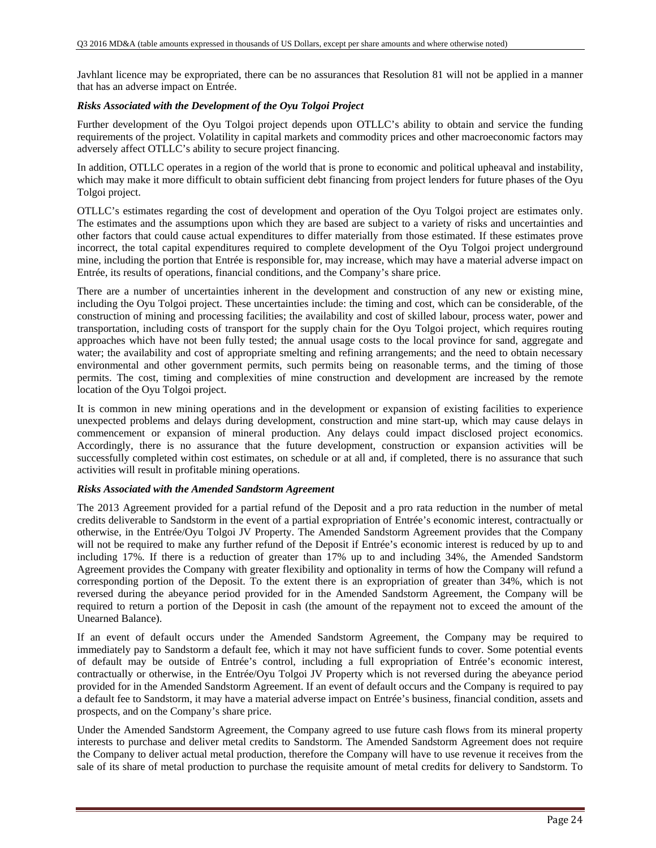Javhlant licence may be expropriated, there can be no assurances that Resolution 81 will not be applied in a manner that has an adverse impact on Entrée.

### *Risks Associated with the Development of the Oyu Tolgoi Project*

Further development of the Oyu Tolgoi project depends upon OTLLC's ability to obtain and service the funding requirements of the project. Volatility in capital markets and commodity prices and other macroeconomic factors may adversely affect OTLLC's ability to secure project financing.

In addition, OTLLC operates in a region of the world that is prone to economic and political upheaval and instability, which may make it more difficult to obtain sufficient debt financing from project lenders for future phases of the Oyu Tolgoi project.

OTLLC's estimates regarding the cost of development and operation of the Oyu Tolgoi project are estimates only. The estimates and the assumptions upon which they are based are subject to a variety of risks and uncertainties and other factors that could cause actual expenditures to differ materially from those estimated. If these estimates prove incorrect, the total capital expenditures required to complete development of the Oyu Tolgoi project underground mine, including the portion that Entrée is responsible for, may increase, which may have a material adverse impact on Entrée, its results of operations, financial conditions, and the Company's share price.

There are a number of uncertainties inherent in the development and construction of any new or existing mine, including the Oyu Tolgoi project. These uncertainties include: the timing and cost, which can be considerable, of the construction of mining and processing facilities; the availability and cost of skilled labour, process water, power and transportation, including costs of transport for the supply chain for the Oyu Tolgoi project, which requires routing approaches which have not been fully tested; the annual usage costs to the local province for sand, aggregate and water; the availability and cost of appropriate smelting and refining arrangements; and the need to obtain necessary environmental and other government permits, such permits being on reasonable terms, and the timing of those permits. The cost, timing and complexities of mine construction and development are increased by the remote location of the Oyu Tolgoi project.

It is common in new mining operations and in the development or expansion of existing facilities to experience unexpected problems and delays during development, construction and mine start-up, which may cause delays in commencement or expansion of mineral production. Any delays could impact disclosed project economics. Accordingly, there is no assurance that the future development, construction or expansion activities will be successfully completed within cost estimates, on schedule or at all and, if completed, there is no assurance that such activities will result in profitable mining operations.

### *Risks Associated with the Amended Sandstorm Agreement*

The 2013 Agreement provided for a partial refund of the Deposit and a pro rata reduction in the number of metal credits deliverable to Sandstorm in the event of a partial expropriation of Entrée's economic interest, contractually or otherwise, in the Entrée/Oyu Tolgoi JV Property. The Amended Sandstorm Agreement provides that the Company will not be required to make any further refund of the Deposit if Entrée's economic interest is reduced by up to and including 17%. If there is a reduction of greater than 17% up to and including 34%, the Amended Sandstorm Agreement provides the Company with greater flexibility and optionality in terms of how the Company will refund a corresponding portion of the Deposit. To the extent there is an expropriation of greater than 34%, which is not reversed during the abeyance period provided for in the Amended Sandstorm Agreement, the Company will be required to return a portion of the Deposit in cash (the amount of the repayment not to exceed the amount of the Unearned Balance).

If an event of default occurs under the Amended Sandstorm Agreement, the Company may be required to immediately pay to Sandstorm a default fee, which it may not have sufficient funds to cover. Some potential events of default may be outside of Entrée's control, including a full expropriation of Entrée's economic interest, contractually or otherwise, in the Entrée/Oyu Tolgoi JV Property which is not reversed during the abeyance period provided for in the Amended Sandstorm Agreement. If an event of default occurs and the Company is required to pay a default fee to Sandstorm, it may have a material adverse impact on Entrée's business, financial condition, assets and prospects, and on the Company's share price.

Under the Amended Sandstorm Agreement, the Company agreed to use future cash flows from its mineral property interests to purchase and deliver metal credits to Sandstorm. The Amended Sandstorm Agreement does not require the Company to deliver actual metal production, therefore the Company will have to use revenue it receives from the sale of its share of metal production to purchase the requisite amount of metal credits for delivery to Sandstorm. To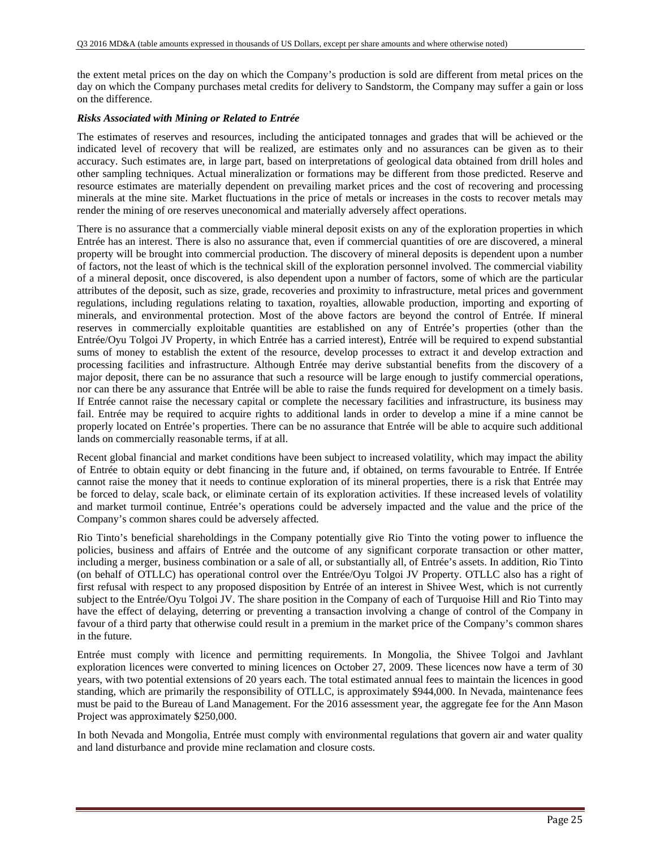the extent metal prices on the day on which the Company's production is sold are different from metal prices on the day on which the Company purchases metal credits for delivery to Sandstorm, the Company may suffer a gain or loss on the difference.

## *Risks Associated with Mining or Related to Entrée*

The estimates of reserves and resources, including the anticipated tonnages and grades that will be achieved or the indicated level of recovery that will be realized, are estimates only and no assurances can be given as to their accuracy. Such estimates are, in large part, based on interpretations of geological data obtained from drill holes and other sampling techniques. Actual mineralization or formations may be different from those predicted. Reserve and resource estimates are materially dependent on prevailing market prices and the cost of recovering and processing minerals at the mine site. Market fluctuations in the price of metals or increases in the costs to recover metals may render the mining of ore reserves uneconomical and materially adversely affect operations.

There is no assurance that a commercially viable mineral deposit exists on any of the exploration properties in which Entrée has an interest. There is also no assurance that, even if commercial quantities of ore are discovered, a mineral property will be brought into commercial production. The discovery of mineral deposits is dependent upon a number of factors, not the least of which is the technical skill of the exploration personnel involved. The commercial viability of a mineral deposit, once discovered, is also dependent upon a number of factors, some of which are the particular attributes of the deposit, such as size, grade, recoveries and proximity to infrastructure, metal prices and government regulations, including regulations relating to taxation, royalties, allowable production, importing and exporting of minerals, and environmental protection. Most of the above factors are beyond the control of Entrée. If mineral reserves in commercially exploitable quantities are established on any of Entrée's properties (other than the Entrée/Oyu Tolgoi JV Property, in which Entrée has a carried interest), Entrée will be required to expend substantial sums of money to establish the extent of the resource, develop processes to extract it and develop extraction and processing facilities and infrastructure. Although Entrée may derive substantial benefits from the discovery of a major deposit, there can be no assurance that such a resource will be large enough to justify commercial operations, nor can there be any assurance that Entrée will be able to raise the funds required for development on a timely basis. If Entrée cannot raise the necessary capital or complete the necessary facilities and infrastructure, its business may fail. Entrée may be required to acquire rights to additional lands in order to develop a mine if a mine cannot be properly located on Entrée's properties. There can be no assurance that Entrée will be able to acquire such additional lands on commercially reasonable terms, if at all.

Recent global financial and market conditions have been subject to increased volatility, which may impact the ability of Entrée to obtain equity or debt financing in the future and, if obtained, on terms favourable to Entrée. If Entrée cannot raise the money that it needs to continue exploration of its mineral properties, there is a risk that Entrée may be forced to delay, scale back, or eliminate certain of its exploration activities. If these increased levels of volatility and market turmoil continue, Entrée's operations could be adversely impacted and the value and the price of the Company's common shares could be adversely affected.

Rio Tinto's beneficial shareholdings in the Company potentially give Rio Tinto the voting power to influence the policies, business and affairs of Entrée and the outcome of any significant corporate transaction or other matter, including a merger, business combination or a sale of all, or substantially all, of Entrée's assets. In addition, Rio Tinto (on behalf of OTLLC) has operational control over the Entrée/Oyu Tolgoi JV Property. OTLLC also has a right of first refusal with respect to any proposed disposition by Entrée of an interest in Shivee West, which is not currently subject to the Entrée/Oyu Tolgoi JV. The share position in the Company of each of Turquoise Hill and Rio Tinto may have the effect of delaying, deterring or preventing a transaction involving a change of control of the Company in favour of a third party that otherwise could result in a premium in the market price of the Company's common shares in the future.

Entrée must comply with licence and permitting requirements. In Mongolia, the Shivee Tolgoi and Javhlant exploration licences were converted to mining licences on October 27, 2009. These licences now have a term of 30 years, with two potential extensions of 20 years each. The total estimated annual fees to maintain the licences in good standing, which are primarily the responsibility of OTLLC, is approximately \$944,000. In Nevada, maintenance fees must be paid to the Bureau of Land Management. For the 2016 assessment year, the aggregate fee for the Ann Mason Project was approximately \$250,000.

In both Nevada and Mongolia, Entrée must comply with environmental regulations that govern air and water quality and land disturbance and provide mine reclamation and closure costs.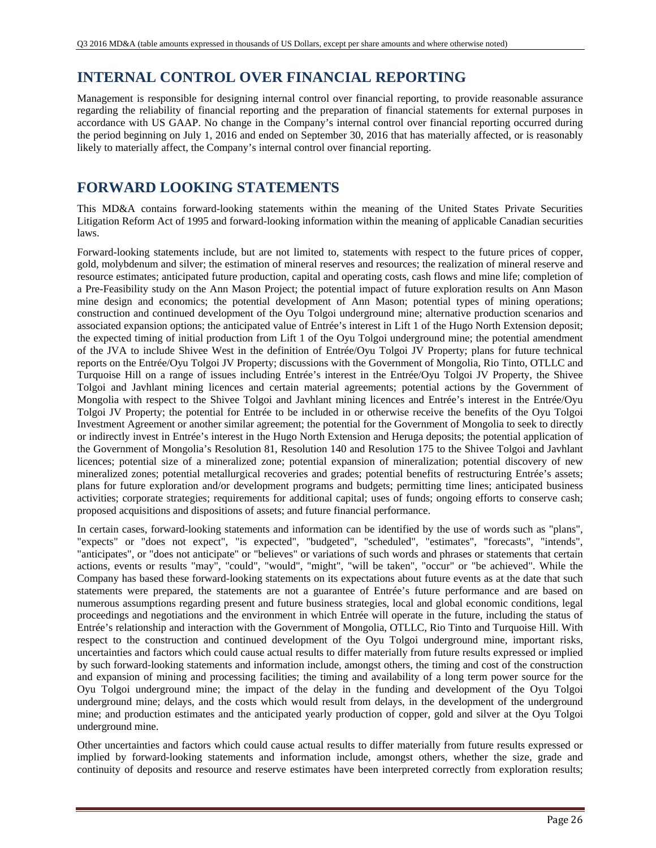# **INTERNAL CONTROL OVER FINANCIAL REPORTING**

Management is responsible for designing internal control over financial reporting, to provide reasonable assurance regarding the reliability of financial reporting and the preparation of financial statements for external purposes in accordance with US GAAP. No change in the Company's internal control over financial reporting occurred during the period beginning on July 1, 2016 and ended on September 30, 2016 that has materially affected, or is reasonably likely to materially affect, the Company's internal control over financial reporting.

# **FORWARD LOOKING STATEMENTS**

This MD&A contains forward-looking statements within the meaning of the United States Private Securities Litigation Reform Act of 1995 and forward-looking information within the meaning of applicable Canadian securities laws.

Forward-looking statements include, but are not limited to, statements with respect to the future prices of copper, gold, molybdenum and silver; the estimation of mineral reserves and resources; the realization of mineral reserve and resource estimates; anticipated future production, capital and operating costs, cash flows and mine life; completion of a Pre-Feasibility study on the Ann Mason Project; the potential impact of future exploration results on Ann Mason mine design and economics; the potential development of Ann Mason; potential types of mining operations; construction and continued development of the Oyu Tolgoi underground mine; alternative production scenarios and associated expansion options; the anticipated value of Entrée's interest in Lift 1 of the Hugo North Extension deposit; the expected timing of initial production from Lift 1 of the Oyu Tolgoi underground mine; the potential amendment of the JVA to include Shivee West in the definition of Entrée/Oyu Tolgoi JV Property; plans for future technical reports on the Entrée/Oyu Tolgoi JV Property; discussions with the Government of Mongolia, Rio Tinto, OTLLC and Turquoise Hill on a range of issues including Entrée's interest in the Entrée/Oyu Tolgoi JV Property, the Shivee Tolgoi and Javhlant mining licences and certain material agreements; potential actions by the Government of Mongolia with respect to the Shivee Tolgoi and Javhlant mining licences and Entrée's interest in the Entrée/Oyu Tolgoi JV Property; the potential for Entrée to be included in or otherwise receive the benefits of the Oyu Tolgoi Investment Agreement or another similar agreement; the potential for the Government of Mongolia to seek to directly or indirectly invest in Entrée's interest in the Hugo North Extension and Heruga deposits; the potential application of the Government of Mongolia's Resolution 81, Resolution 140 and Resolution 175 to the Shivee Tolgoi and Javhlant licences; potential size of a mineralized zone; potential expansion of mineralization; potential discovery of new mineralized zones; potential metallurgical recoveries and grades; potential benefits of restructuring Entrée's assets; plans for future exploration and/or development programs and budgets; permitting time lines; anticipated business activities; corporate strategies; requirements for additional capital; uses of funds; ongoing efforts to conserve cash; proposed acquisitions and dispositions of assets; and future financial performance.

In certain cases, forward-looking statements and information can be identified by the use of words such as "plans", "expects" or "does not expect", "is expected", "budgeted", "scheduled", "estimates", "forecasts", "intends", "anticipates", or "does not anticipate" or "believes" or variations of such words and phrases or statements that certain actions, events or results "may", "could", "would", "might", "will be taken", "occur" or "be achieved". While the Company has based these forward-looking statements on its expectations about future events as at the date that such statements were prepared, the statements are not a guarantee of Entrée's future performance and are based on numerous assumptions regarding present and future business strategies, local and global economic conditions, legal proceedings and negotiations and the environment in which Entrée will operate in the future, including the status of Entrée's relationship and interaction with the Government of Mongolia, OTLLC, Rio Tinto and Turquoise Hill. With respect to the construction and continued development of the Oyu Tolgoi underground mine, important risks, uncertainties and factors which could cause actual results to differ materially from future results expressed or implied by such forward-looking statements and information include, amongst others, the timing and cost of the construction and expansion of mining and processing facilities; the timing and availability of a long term power source for the Oyu Tolgoi underground mine; the impact of the delay in the funding and development of the Oyu Tolgoi underground mine; delays, and the costs which would result from delays, in the development of the underground mine; and production estimates and the anticipated yearly production of copper, gold and silver at the Oyu Tolgoi underground mine.

Other uncertainties and factors which could cause actual results to differ materially from future results expressed or implied by forward-looking statements and information include, amongst others, whether the size, grade and continuity of deposits and resource and reserve estimates have been interpreted correctly from exploration results;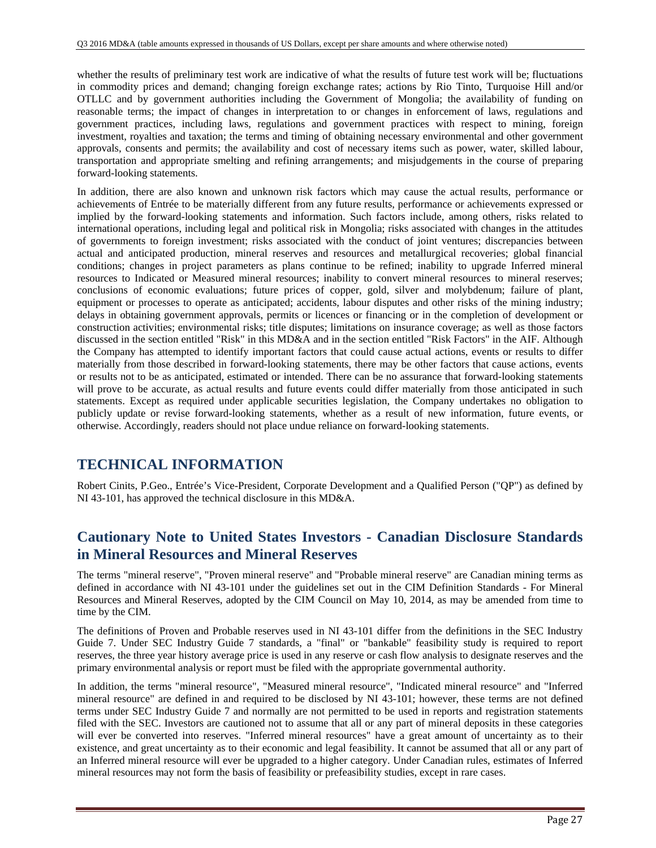whether the results of preliminary test work are indicative of what the results of future test work will be; fluctuations in commodity prices and demand; changing foreign exchange rates; actions by Rio Tinto, Turquoise Hill and/or OTLLC and by government authorities including the Government of Mongolia; the availability of funding on reasonable terms; the impact of changes in interpretation to or changes in enforcement of laws, regulations and government practices, including laws, regulations and government practices with respect to mining, foreign investment, royalties and taxation; the terms and timing of obtaining necessary environmental and other government approvals, consents and permits; the availability and cost of necessary items such as power, water, skilled labour, transportation and appropriate smelting and refining arrangements; and misjudgements in the course of preparing forward-looking statements.

In addition, there are also known and unknown risk factors which may cause the actual results, performance or achievements of Entrée to be materially different from any future results, performance or achievements expressed or implied by the forward-looking statements and information. Such factors include, among others, risks related to international operations, including legal and political risk in Mongolia; risks associated with changes in the attitudes of governments to foreign investment; risks associated with the conduct of joint ventures; discrepancies between actual and anticipated production, mineral reserves and resources and metallurgical recoveries; global financial conditions; changes in project parameters as plans continue to be refined; inability to upgrade Inferred mineral resources to Indicated or Measured mineral resources; inability to convert mineral resources to mineral reserves; conclusions of economic evaluations; future prices of copper, gold, silver and molybdenum; failure of plant, equipment or processes to operate as anticipated; accidents, labour disputes and other risks of the mining industry; delays in obtaining government approvals, permits or licences or financing or in the completion of development or construction activities; environmental risks; title disputes; limitations on insurance coverage; as well as those factors discussed in the section entitled "Risk" in this MD&A and in the section entitled "Risk Factors" in the AIF. Although the Company has attempted to identify important factors that could cause actual actions, events or results to differ materially from those described in forward-looking statements, there may be other factors that cause actions, events or results not to be as anticipated, estimated or intended. There can be no assurance that forward-looking statements will prove to be accurate, as actual results and future events could differ materially from those anticipated in such statements. Except as required under applicable securities legislation, the Company undertakes no obligation to publicly update or revise forward-looking statements, whether as a result of new information, future events, or otherwise. Accordingly, readers should not place undue reliance on forward-looking statements.

# **TECHNICAL INFORMATION**

Robert Cinits, P.Geo., Entrée's Vice-President, Corporate Development and a Qualified Person ("QP") as defined by NI 43-101, has approved the technical disclosure in this MD&A.

# **Cautionary Note to United States Investors - Canadian Disclosure Standards in Mineral Resources and Mineral Reserves**

The terms "mineral reserve", "Proven mineral reserve" and "Probable mineral reserve" are Canadian mining terms as defined in accordance with NI 43-101 under the guidelines set out in the CIM Definition Standards - For Mineral Resources and Mineral Reserves, adopted by the CIM Council on May 10, 2014, as may be amended from time to time by the CIM.

The definitions of Proven and Probable reserves used in NI 43-101 differ from the definitions in the SEC Industry Guide 7. Under SEC Industry Guide 7 standards, a "final" or "bankable" feasibility study is required to report reserves, the three year history average price is used in any reserve or cash flow analysis to designate reserves and the primary environmental analysis or report must be filed with the appropriate governmental authority.

In addition, the terms "mineral resource", "Measured mineral resource", "Indicated mineral resource" and "Inferred mineral resource" are defined in and required to be disclosed by NI 43-101; however, these terms are not defined terms under SEC Industry Guide 7 and normally are not permitted to be used in reports and registration statements filed with the SEC. Investors are cautioned not to assume that all or any part of mineral deposits in these categories will ever be converted into reserves. "Inferred mineral resources" have a great amount of uncertainty as to their existence, and great uncertainty as to their economic and legal feasibility. It cannot be assumed that all or any part of an Inferred mineral resource will ever be upgraded to a higher category. Under Canadian rules, estimates of Inferred mineral resources may not form the basis of feasibility or prefeasibility studies, except in rare cases.